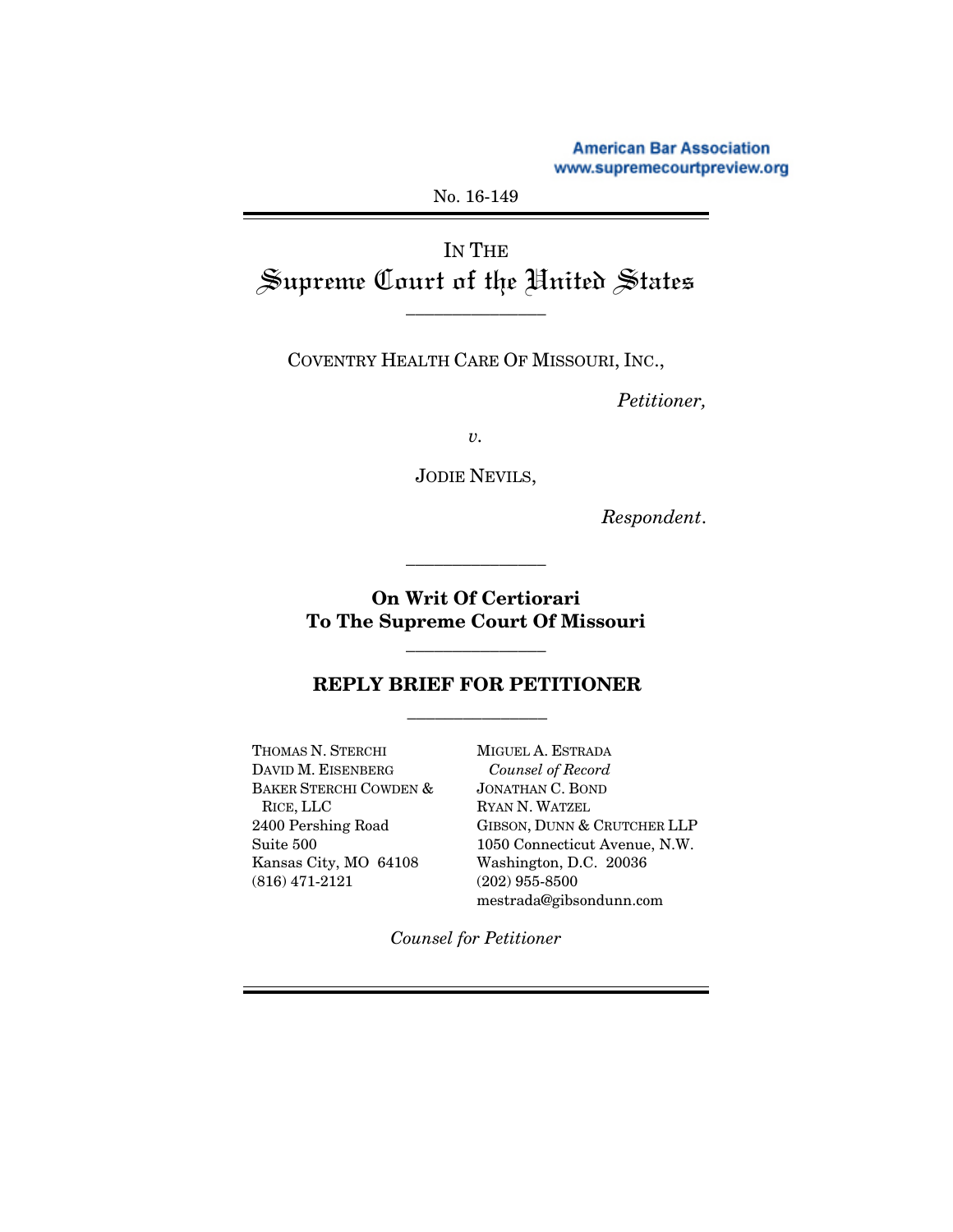**American Bar Association** www.supremecourtpreview.org

### No. 16-149

# IN THE Supreme Court of the United States

\_\_\_\_\_\_\_\_\_\_\_\_\_\_\_

COVENTRY HEALTH CARE OF MISSOURI, INC.,

*Petitioner,* 

*v.* 

JODIE NEVILS,

*Respondent*.

### **On Writ Of Certiorari To The Supreme Court Of Missouri**

\_\_\_\_\_\_\_\_\_\_\_\_\_\_\_

\_\_\_\_\_\_\_\_\_\_\_\_\_\_\_

## **REPLY BRIEF FOR PETITIONER**  \_\_\_\_\_\_\_\_\_\_\_\_\_\_\_

THOMAS N. STERCHI DAVID M. EISENBERG BAKER STERCHI COWDEN & RICE, LLC 2400 Pershing Road Suite 500 Kansas City, MO 64108 (816) 471-2121

MIGUEL A. ESTRADA *Counsel of Record* JONATHAN C. BOND RYAN N. WATZEL GIBSON, DUNN & CRUTCHER LLP 1050 Connecticut Avenue, N.W. Washington, D.C. 20036 (202) 955-8500 mestrada@gibsondunn.com

*Counsel for Petitioner*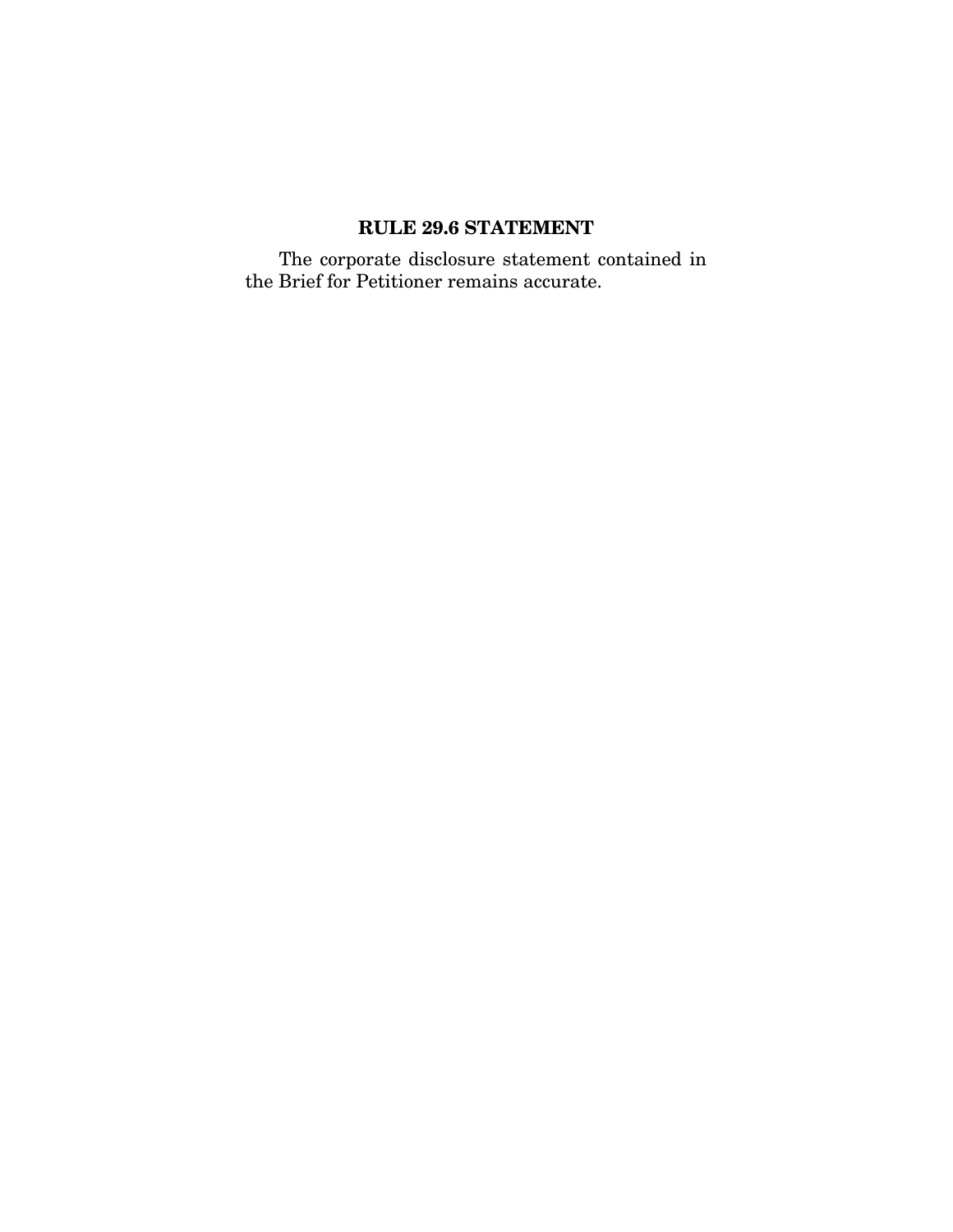# **RULE 29.6 STATEMENT**

The corporate disclosure statement contained in the Brief for Petitioner remains accurate.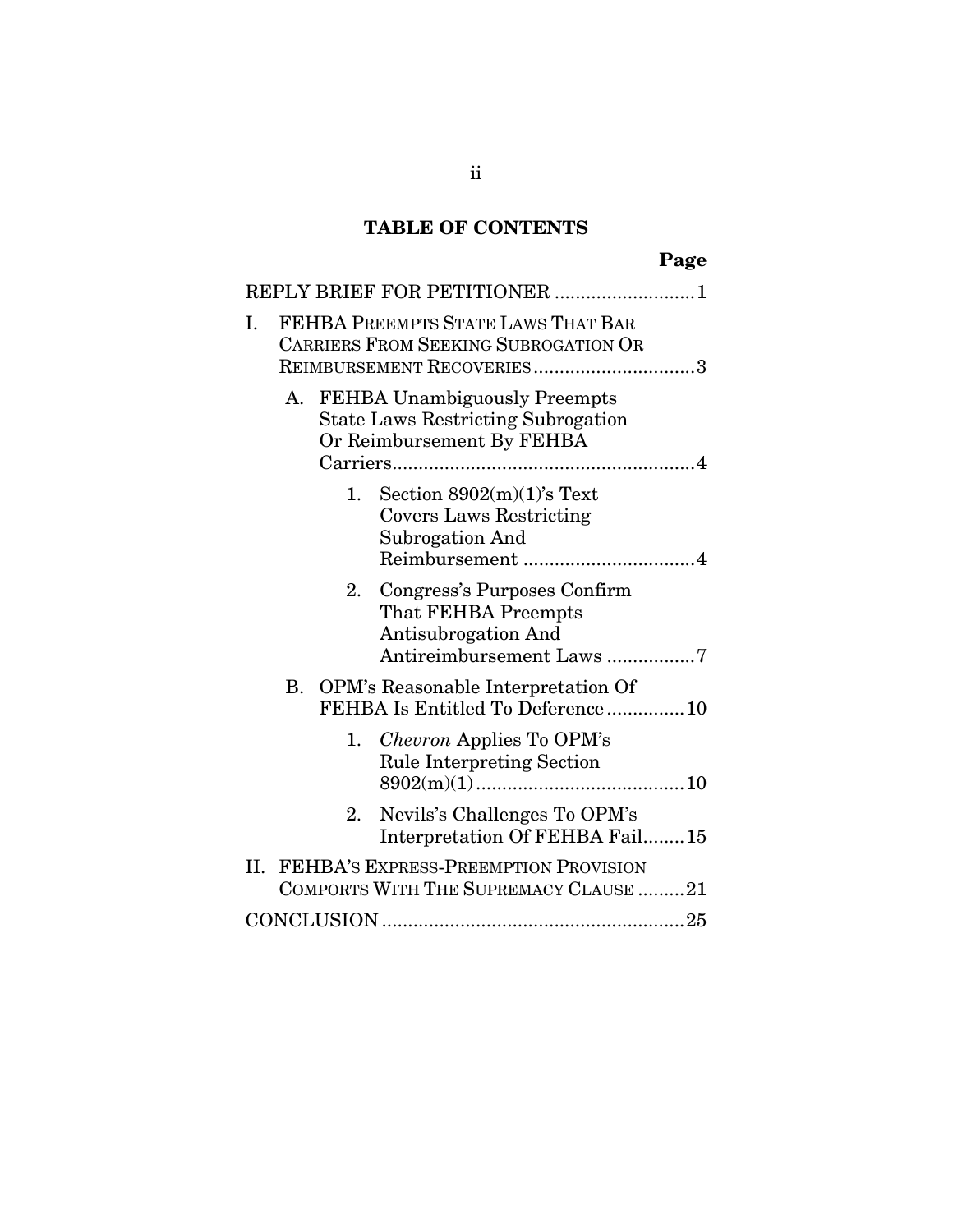# **TABLE OF CONTENTS**

|    |                                                                                                                     |             | Page                                                                                                    |
|----|---------------------------------------------------------------------------------------------------------------------|-------------|---------------------------------------------------------------------------------------------------------|
|    |                                                                                                                     |             | REPLY BRIEF FOR PETITIONER 1                                                                            |
| Ι. |                                                                                                                     |             | FEHBA PREEMPTS STATE LAWS THAT BAR<br>CARRIERS FROM SEEKING SUBROGATION OR<br>REIMBURSEMENT RECOVERIES3 |
|    | <b>FEHBA Unambiguously Preempts</b><br>A.<br><b>State Laws Restricting Subrogation</b><br>Or Reimbursement By FEHBA |             |                                                                                                         |
|    |                                                                                                                     | 1.          | Section $8902(m)(1)$ 's Text<br><b>Covers Laws Restricting</b><br>Subrogation And                       |
|    |                                                                                                                     | 2.          | Congress's Purposes Confirm<br>That FEHBA Preempts<br>Antisubrogation And<br>Antireimbursement Laws7    |
|    | В.                                                                                                                  |             | OPM's Reasonable Interpretation Of<br>FEHBA Is Entitled To Deference10                                  |
|    |                                                                                                                     | 1.          | <i>Chevron</i> Applies To OPM's<br><b>Rule Interpreting Section</b>                                     |
|    |                                                                                                                     | $2_{\cdot}$ | Nevils's Challenges To OPM's<br>Interpretation Of FEHBA Fail15                                          |
| П. |                                                                                                                     |             | FEHBA'S EXPRESS-PREEMPTION PROVISION<br>COMPORTS WITH THE SUPREMACY CLAUSE 21                           |
|    |                                                                                                                     |             |                                                                                                         |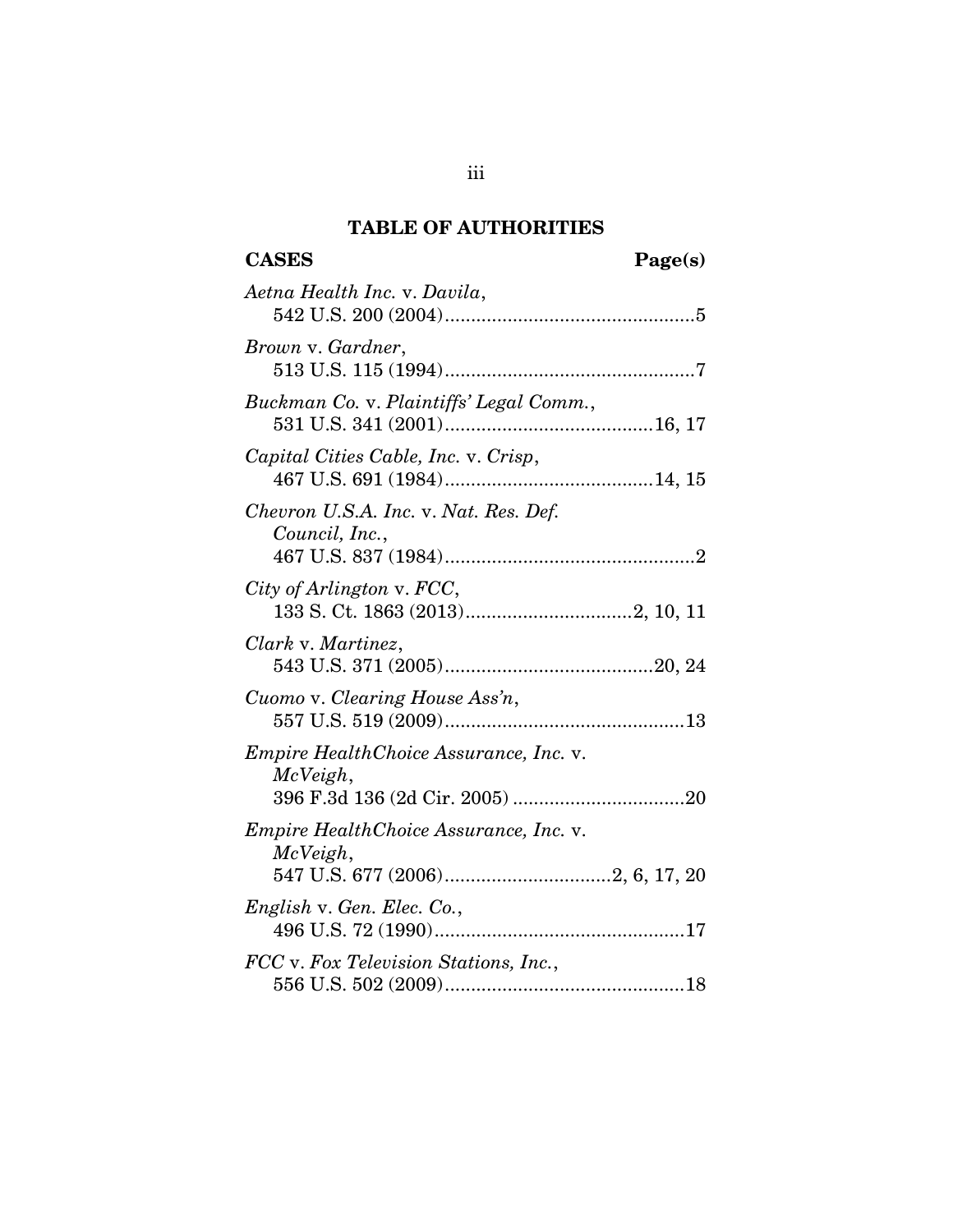# **TABLE OF AUTHORITIES**

| Aetna Health Inc. v. Davila,                              |
|-----------------------------------------------------------|
| Brown v. Gardner,                                         |
| Buckman Co. v. Plaintiffs' Legal Comm.,                   |
| Capital Cities Cable, Inc. v. Crisp,                      |
| Chevron U.S.A. Inc. v. Nat. Res. Def.<br>Council, Inc.,   |
| City of Arlington v. FCC,                                 |
| Clark v. Martinez,                                        |
| Cuomo v. Clearing House Ass'n,                            |
| <i>Empire HealthChoice Assurance, Inc. v.</i><br>McVeigh, |
| <i>Empire HealthChoice Assurance, Inc. v.</i><br>McVeigh, |
| English v. Gen. Elec. Co.,                                |
| FCC v. Fox Television Stations, Inc.,                     |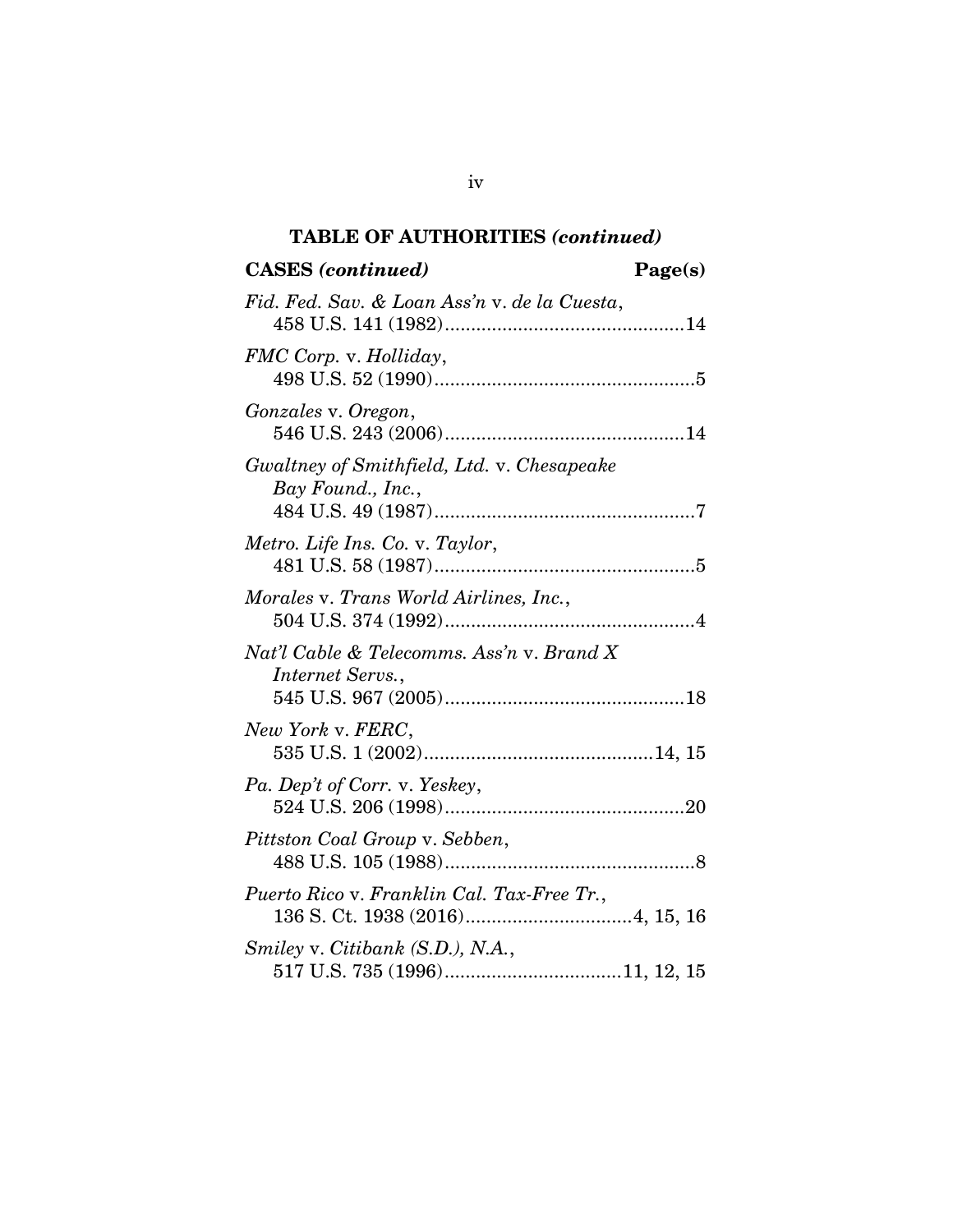### **TABLE OF AUTHORITIES** *(continued)*

# **CASES** *(continued)* **...................................... Page(s)** *Fid. Fed. Sav. & Loan Ass'n* v. *de la Cuesta*, 458 U.S. 141 (1982) .............................................. 14 *FMC Corp.* v. *Holliday*, 498 U.S. 52 (1990) .................................................. 5 *Gonzales* v. *Oregon*, 546 U.S. 243 (2006) .............................................. 14 *Gwaltney of Smithfield, Ltd.* v. *Chesapeake Bay Found., Inc.*, 484 U.S. 49 (1987) .................................................. 7 *Metro. Life Ins. Co.* v. *Taylor*, 481 U.S. 58 (1987) .................................................. 5 *Morales* v. *Trans World Airlines, Inc.*, 504 U.S. 374 (1992) ................................................ 4 *Nat'l Cable & Telecomms. Ass'n* v. *Brand X Internet Servs.*, 545 U.S. 967 (2005) .............................................. 18 *New York* v. *FERC*, 535 U.S. 1 (2002) ............................................ 14, 15 *Pa. Dep't of Corr.* v. *Yeskey*, 524 U.S. 206 (1998) .............................................. 20 *Pittston Coal Group* v. *Sebben*, 488 U.S. 105 (1988) ................................................ 8 *Puerto Rico* v. *Franklin Cal. Tax-Free Tr.*, 136 S. Ct. 1938 (2016) ................................ 4, 15, 16 *Smiley* v. *Citibank (S.D.), N.A.*, 517 U.S. 735 (1996) .................................. 11, 12, 15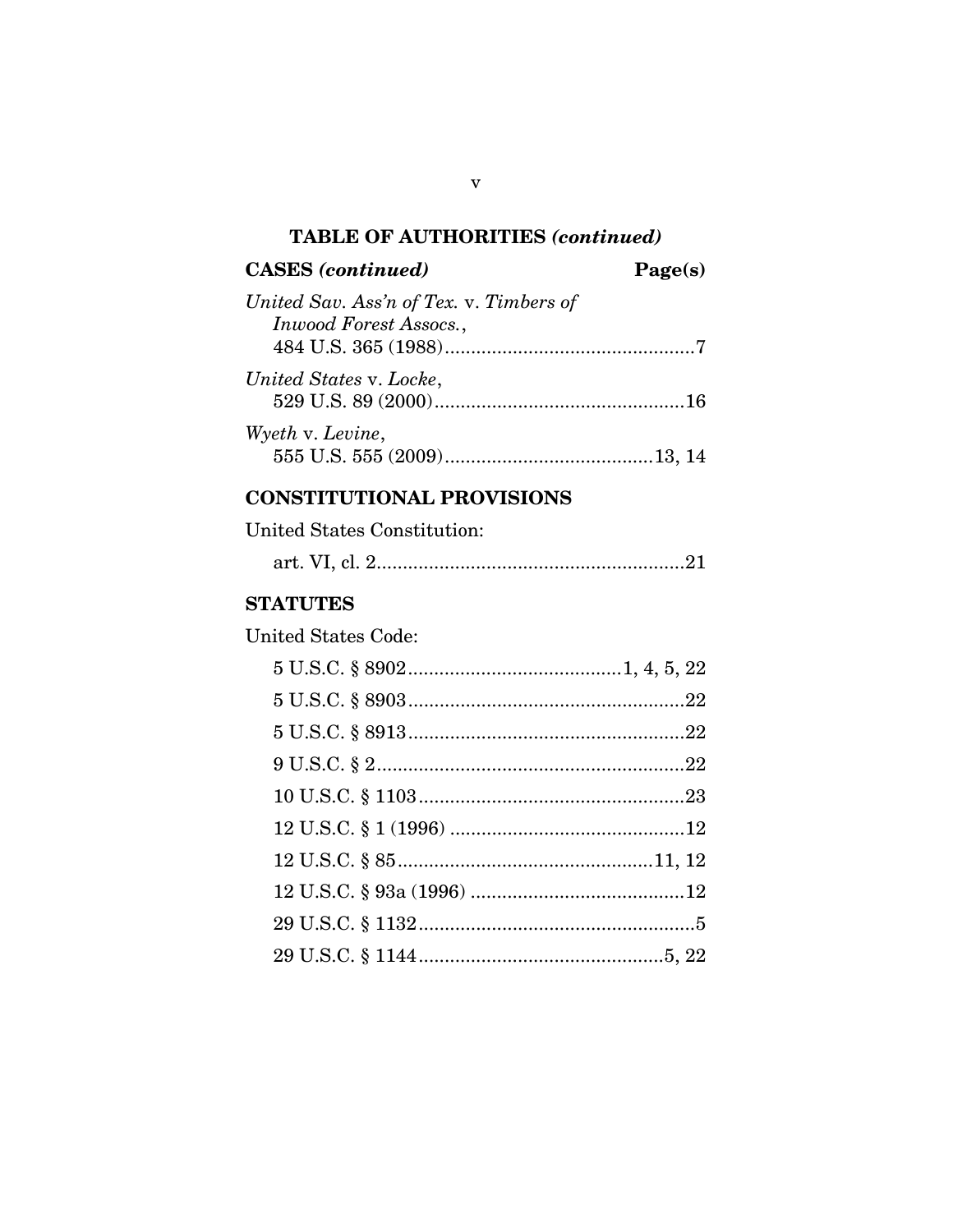## **TABLE OF AUTHORITIES** *(continued)*

# **CASES** *(continued)* **...................................... Page(s)**

| United Sav. Ass'n of Tex. v. Timbers of |  |
|-----------------------------------------|--|
| Inwood Forest Assocs.,                  |  |
| United States v. Locke,                 |  |
| Wyeth v. Levine,                        |  |

## **CONSTITUTIONAL PROVISIONS**

| United States Constitution: |  |
|-----------------------------|--|
|                             |  |

## **STATUTES**

United States Code:

v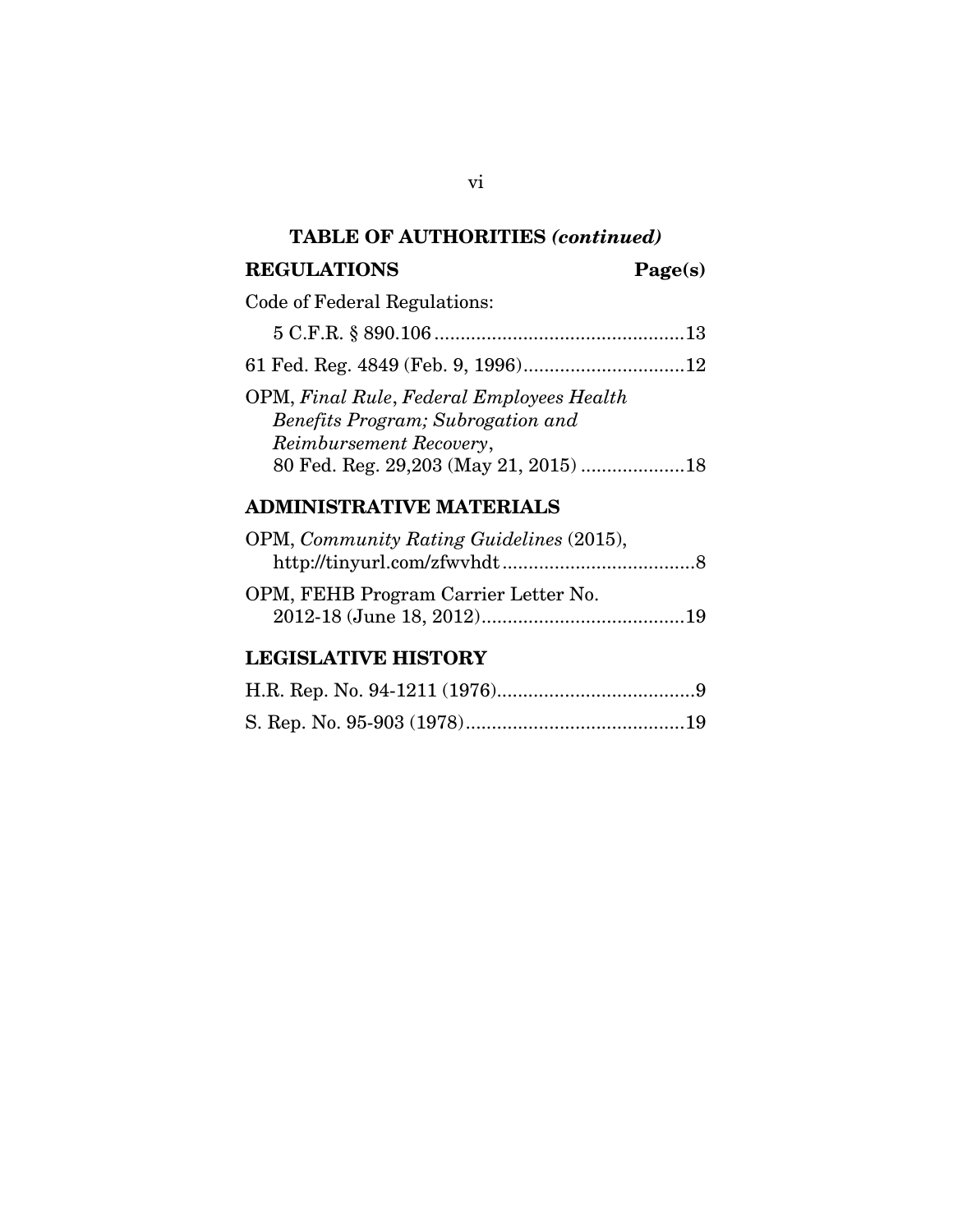### **TABLE OF AUTHORITIES** *(continued)*

### REGULATIONS **Page(s)**

## Code of Federal Regulations:

|--|

61 Fed. Reg. 4849 (Feb. 9, 1996) ............................... 12

| 80 Fed. Reg. 29,203 (May 21, 2015) 18 |
|---------------------------------------|
|                                       |

## **ADMINISTRATIVE MATERIALS**

| OPM, Community Rating Guidelines (2015), |  |
|------------------------------------------|--|
|                                          |  |
| OPM, FEHB Program Carrier Letter No.     |  |

2012-18 (June 18, 2012) ....................................... 19

# **LEGISLATIVE HISTORY**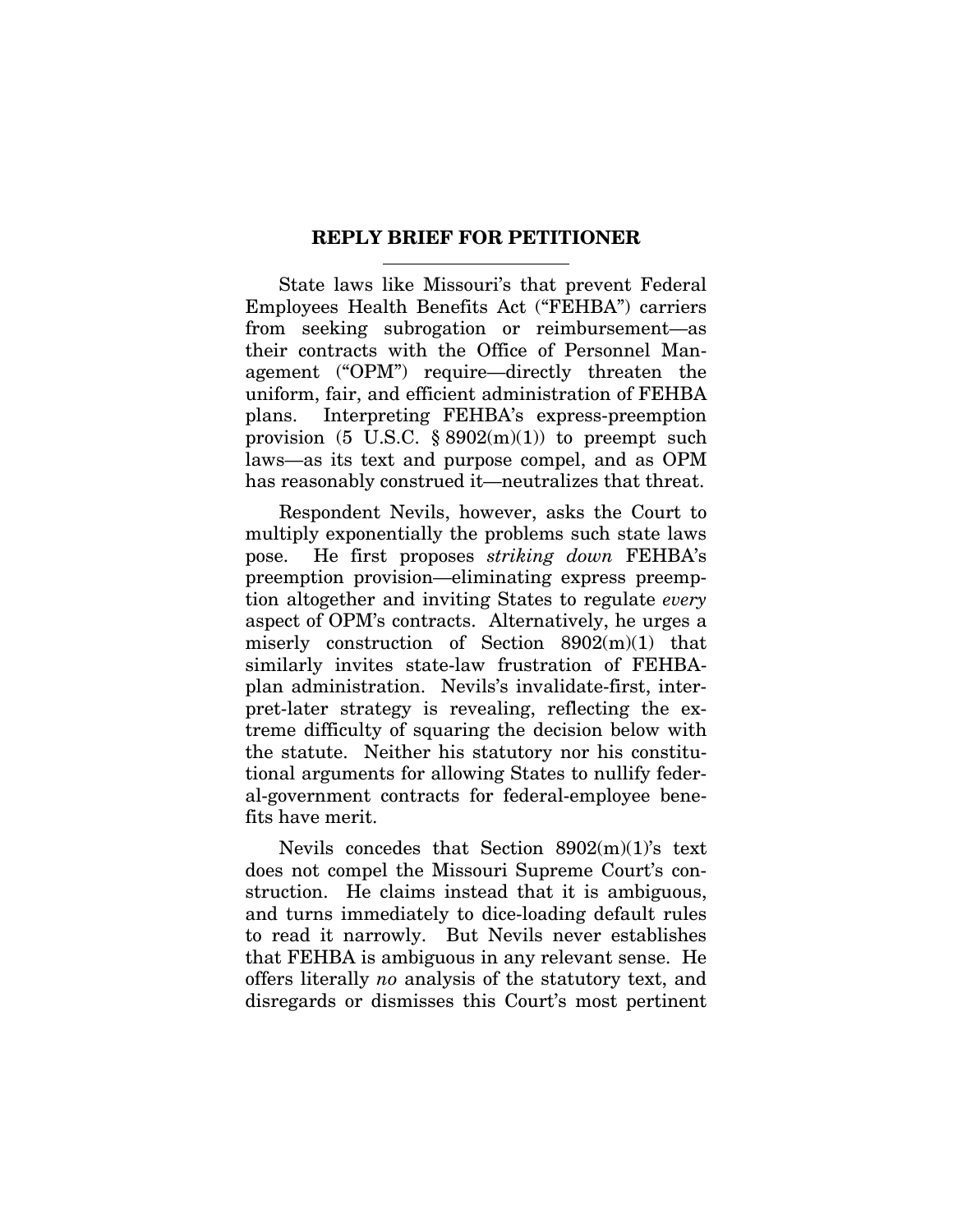### **REPLY BRIEF FOR PETITIONER**

State laws like Missouri's that prevent Federal Employees Health Benefits Act ("FEHBA") carriers from seeking subrogation or reimbursement—as their contracts with the Office of Personnel Management ("OPM") require—directly threaten the uniform, fair, and efficient administration of FEHBA plans. Interpreting FEHBA's express-preemption provision (5 U.S.C.  $\S 8902(m)(1)$ ) to preempt such laws—as its text and purpose compel, and as OPM has reasonably construed it—neutralizes that threat.

Respondent Nevils, however, asks the Court to multiply exponentially the problems such state laws pose. He first proposes *striking down* FEHBA's preemption provision—eliminating express preemption altogether and inviting States to regulate *every* aspect of OPM's contracts. Alternatively, he urges a miserly construction of Section 8902(m)(1) that similarly invites state-law frustration of FEHBAplan administration. Nevils's invalidate-first, interpret-later strategy is revealing, reflecting the extreme difficulty of squaring the decision below with the statute. Neither his statutory nor his constitutional arguments for allowing States to nullify federal-government contracts for federal-employee benefits have merit.

Nevils concedes that Section  $8902(m)(1)$ 's text does not compel the Missouri Supreme Court's construction. He claims instead that it is ambiguous, and turns immediately to dice-loading default rules to read it narrowly. But Nevils never establishes that FEHBA is ambiguous in any relevant sense. He offers literally *no* analysis of the statutory text, and disregards or dismisses this Court's most pertinent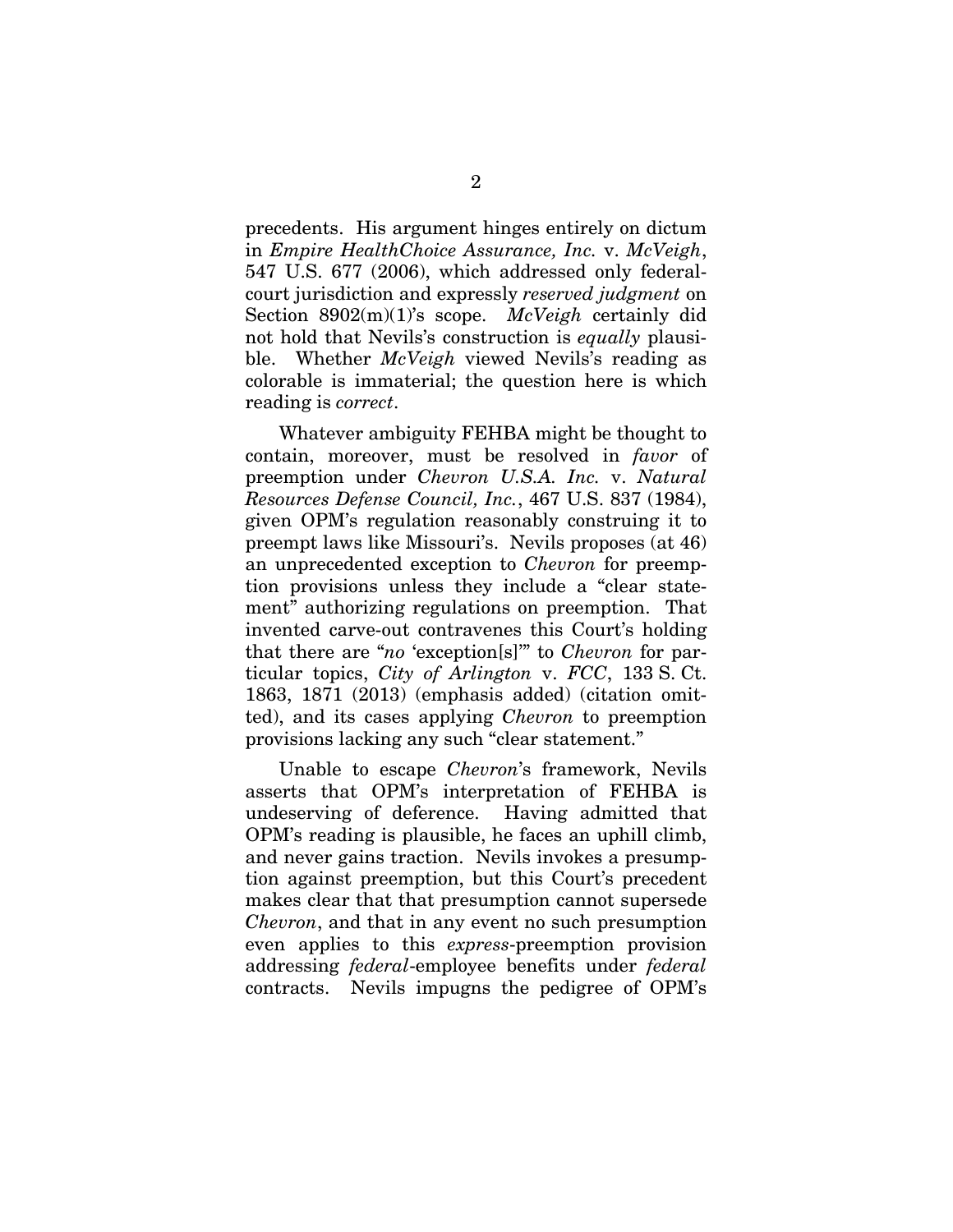precedents. His argument hinges entirely on dictum in *Empire HealthChoice Assurance, Inc.* v. *McVeigh*, 547 U.S. 677 (2006), which addressed only federalcourt jurisdiction and expressly *reserved judgment* on Section 8902(m)(1)'s scope. *McVeigh* certainly did not hold that Nevils's construction is *equally* plausible. Whether *McVeigh* viewed Nevils's reading as colorable is immaterial; the question here is which reading is *correct*.

Whatever ambiguity FEHBA might be thought to contain, moreover, must be resolved in *favor* of preemption under *Chevron U.S.A. Inc.* v. *Natural Resources Defense Council, Inc.*, 467 U.S. 837 (1984), given OPM's regulation reasonably construing it to preempt laws like Missouri's. Nevils proposes (at 46) an unprecedented exception to *Chevron* for preemption provisions unless they include a "clear statement" authorizing regulations on preemption. That invented carve-out contravenes this Court's holding that there are "*no* 'exception[s]'" to *Chevron* for particular topics, *City of Arlington* v. *FCC*, 133 S. Ct. 1863, 1871 (2013) (emphasis added) (citation omitted), and its cases applying *Chevron* to preemption provisions lacking any such "clear statement."

Unable to escape *Chevron*'s framework, Nevils asserts that OPM's interpretation of FEHBA is undeserving of deference. Having admitted that OPM's reading is plausible, he faces an uphill climb, and never gains traction. Nevils invokes a presumption against preemption, but this Court's precedent makes clear that that presumption cannot supersede *Chevron*, and that in any event no such presumption even applies to this *express*-preemption provision addressing *federal*-employee benefits under *federal* contracts. Nevils impugns the pedigree of OPM's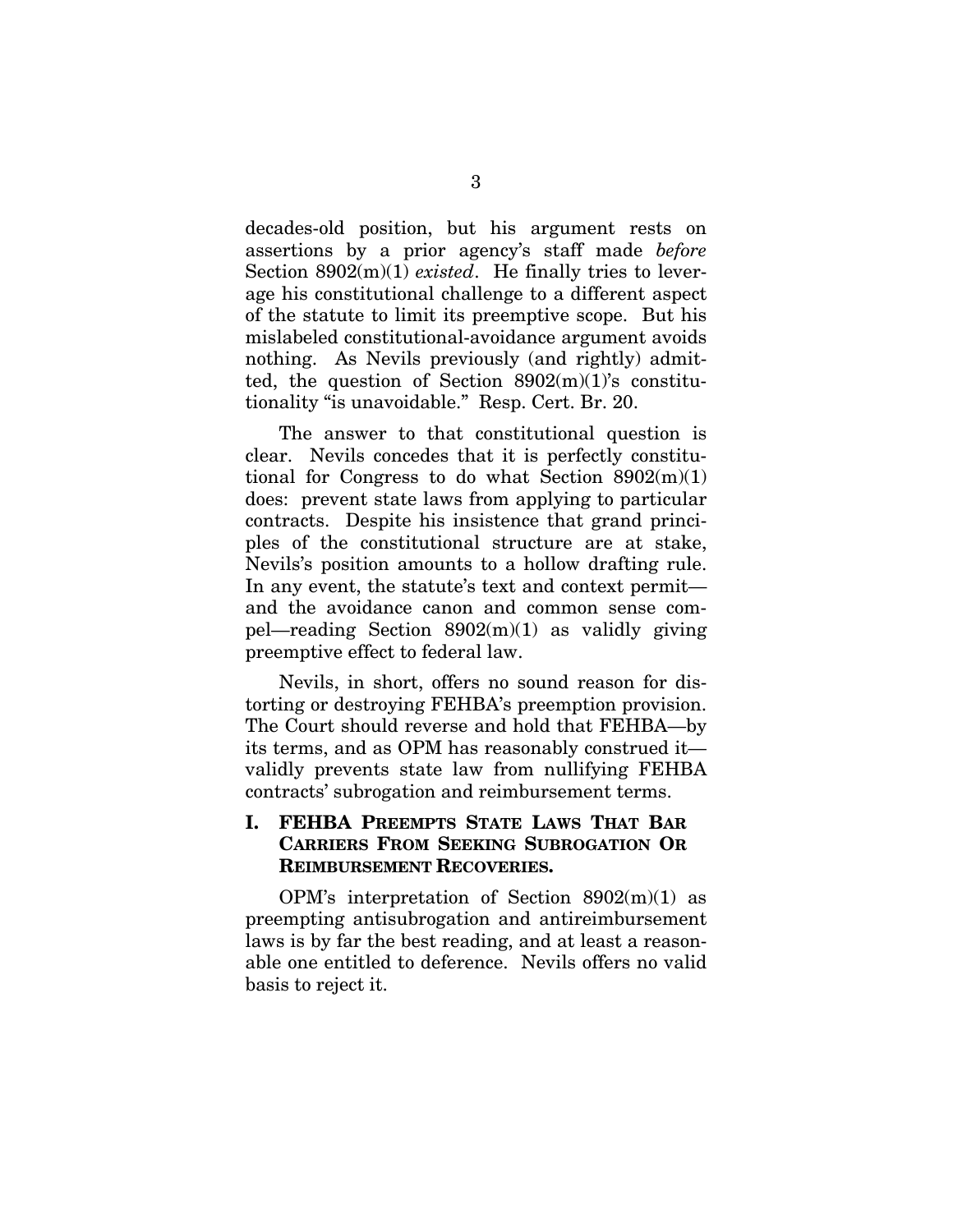decades-old position, but his argument rests on assertions by a prior agency's staff made *before* Section 8902(m)(1) *existed*. He finally tries to leverage his constitutional challenge to a different aspect of the statute to limit its preemptive scope. But his mislabeled constitutional-avoidance argument avoids nothing. As Nevils previously (and rightly) admitted, the question of Section  $8902(m)(1)$ 's constitutionality "is unavoidable." Resp. Cert. Br. 20.

The answer to that constitutional question is clear. Nevils concedes that it is perfectly constitutional for Congress to do what Section  $8902(m)(1)$ does: prevent state laws from applying to particular contracts. Despite his insistence that grand principles of the constitutional structure are at stake, Nevils's position amounts to a hollow drafting rule. In any event, the statute's text and context permit and the avoidance canon and common sense compel—reading Section  $8902(m)(1)$  as validly giving preemptive effect to federal law.

Nevils, in short, offers no sound reason for distorting or destroying FEHBA's preemption provision. The Court should reverse and hold that FEHBA—by its terms, and as OPM has reasonably construed it validly prevents state law from nullifying FEHBA contracts' subrogation and reimbursement terms.

### **I. FEHBA PREEMPTS STATE LAWS THAT BAR CARRIERS FROM SEEKING SUBROGATION OR REIMBURSEMENT RECOVERIES.**

OPM's interpretation of Section  $8902(m)(1)$  as preempting antisubrogation and antireimbursement laws is by far the best reading, and at least a reasonable one entitled to deference. Nevils offers no valid basis to reject it.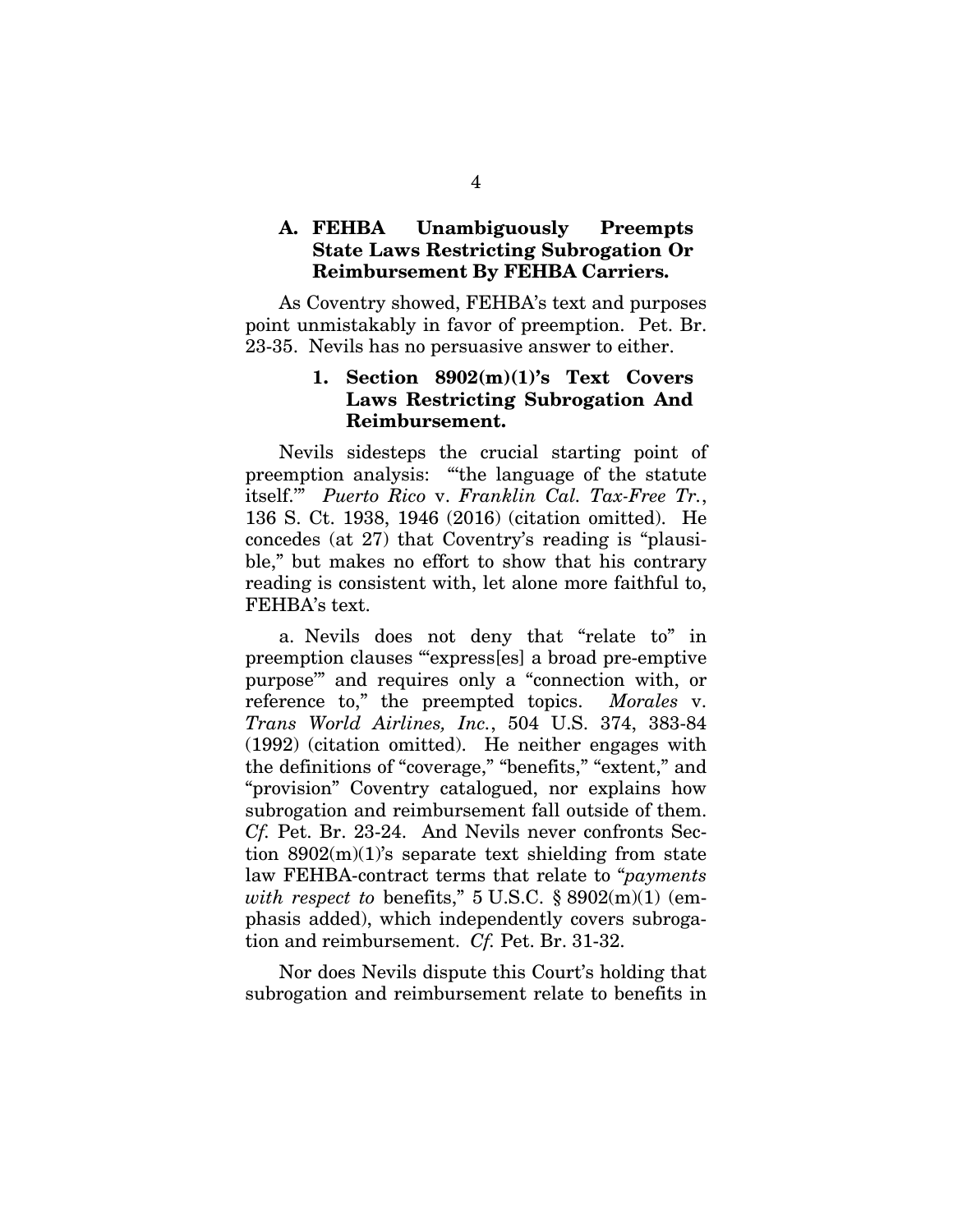### **A. FEHBA Unambiguously Preempts State Laws Restricting Subrogation Or Reimbursement By FEHBA Carriers.**

As Coventry showed, FEHBA's text and purposes point unmistakably in favor of preemption. Pet. Br. 23-35. Nevils has no persuasive answer to either.

### **1. Section 8902(m)(1)'s Text Covers Laws Restricting Subrogation And Reimbursement.**

Nevils sidesteps the crucial starting point of preemption analysis: "the language of the statute itself.'" *Puerto Rico* v. *Franklin Cal. Tax-Free Tr.*, 136 S. Ct. 1938, 1946 (2016) (citation omitted). He concedes (at 27) that Coventry's reading is "plausible," but makes no effort to show that his contrary reading is consistent with, let alone more faithful to, FEHBA's text.

a. Nevils does not deny that "relate to" in preemption clauses "'express[es] a broad pre-emptive purpose'" and requires only a "connection with, or reference to," the preempted topics. *Morales* v. *Trans World Airlines, Inc.*, 504 U.S. 374, 383-84 (1992) (citation omitted). He neither engages with the definitions of "coverage," "benefits," "extent," and "provision" Coventry catalogued, nor explains how subrogation and reimbursement fall outside of them. *Cf.* Pet. Br. 23-24. And Nevils never confronts Section  $8902(m)(1)$ 's separate text shielding from state law FEHBA-contract terms that relate to "*payments with respect to* benefits," 5 U.S.C. § 8902(m)(1) (emphasis added), which independently covers subrogation and reimbursement. *Cf.* Pet. Br. 31-32.

Nor does Nevils dispute this Court's holding that subrogation and reimbursement relate to benefits in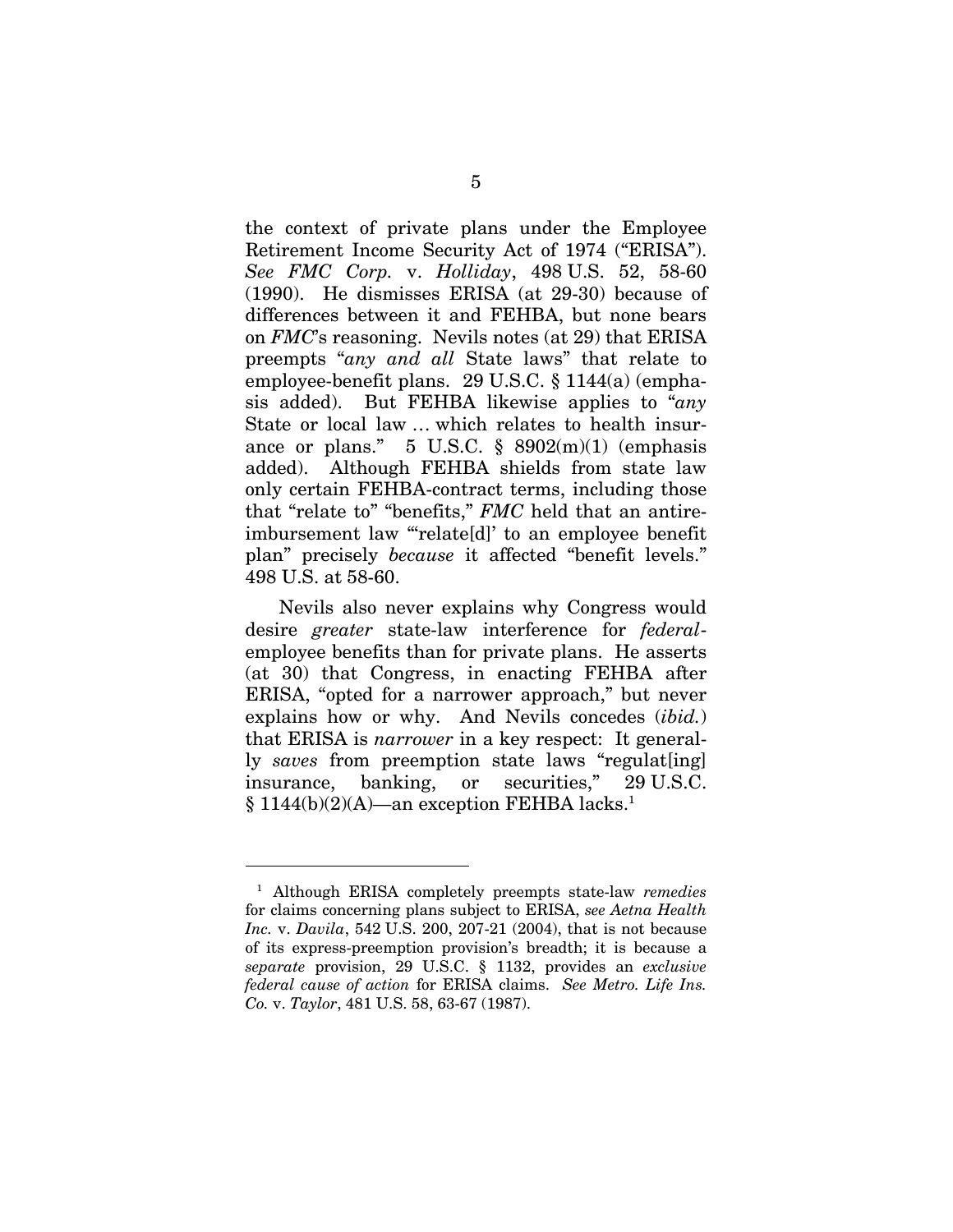the context of private plans under the Employee Retirement Income Security Act of 1974 ("ERISA"). *See FMC Corp.* v. *Holliday*, 498 U.S. 52, 58-60 (1990). He dismisses ERISA (at 29-30) because of differences between it and FEHBA, but none bears on *FMC*'s reasoning. Nevils notes (at 29) that ERISA preempts "*any and all* State laws" that relate to employee-benefit plans. 29 U.S.C. § 1144(a) (emphasis added). But FEHBA likewise applies to "*any* State or local law … which relates to health insurance or plans."  $5 \text{ U.S.C. }$  \$  $8902 \text{ (m)}$  (emphasis added). Although FEHBA shields from state law only certain FEHBA-contract terms, including those that "relate to" "benefits," *FMC* held that an antireimbursement law "relate[d]' to an employee benefit plan" precisely *because* it affected "benefit levels." 498 U.S. at 58-60.

Nevils also never explains why Congress would desire *greater* state-law interference for *federal*employee benefits than for private plans. He asserts (at 30) that Congress, in enacting FEHBA after ERISA, "opted for a narrower approach," but never explains how or why. And Nevils concedes (*ibid.*) that ERISA is *narrower* in a key respect: It generally *saves* from preemption state laws "regulat[ing] insurance, banking, or securities," 29 U.S.C.  $\S 1144(b)(2)(A)$ —an exception FEHBA lacks.<sup>1</sup>

 $\overline{a}$ 

<sup>1</sup> Although ERISA completely preempts state-law *remedies* for claims concerning plans subject to ERISA, *see Aetna Health Inc.* v. *Davila*, 542 U.S. 200, 207-21 (2004), that is not because of its express-preemption provision's breadth; it is because a *separate* provision, 29 U.S.C. § 1132, provides an *exclusive federal cause of action* for ERISA claims. *See Metro. Life Ins. Co.* v. *Taylor*, 481 U.S. 58, 63-67 (1987).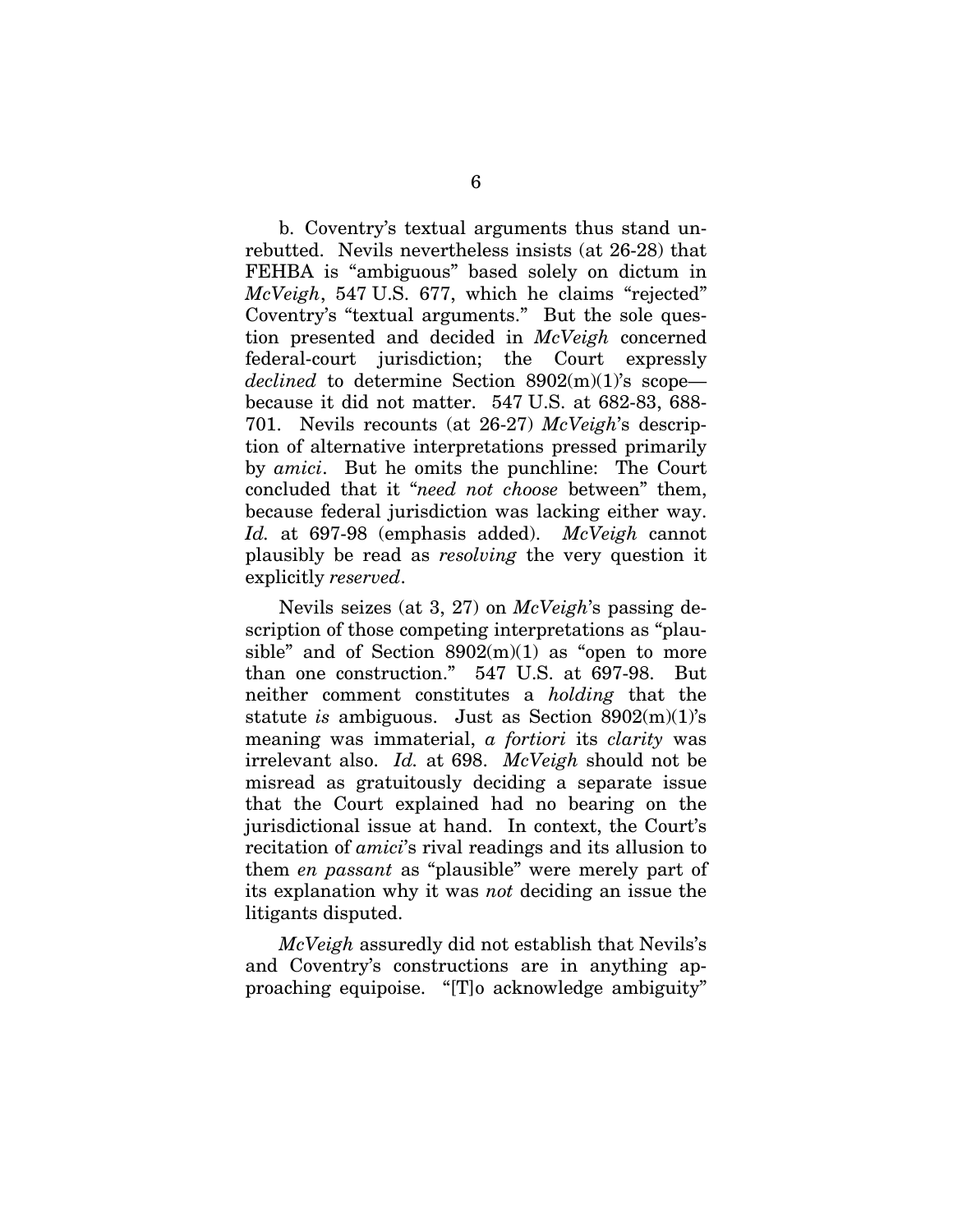b. Coventry's textual arguments thus stand unrebutted. Nevils nevertheless insists (at 26-28) that FEHBA is "ambiguous" based solely on dictum in *McVeigh*, 547 U.S. 677, which he claims "rejected" Coventry's "textual arguments." But the sole question presented and decided in *McVeigh* concerned federal-court jurisdiction; the Court expressly *declined* to determine Section 8902(m)(1)'s scope because it did not matter. 547 U.S. at 682-83, 688- 701. Nevils recounts (at 26-27) *McVeigh*'s description of alternative interpretations pressed primarily by *amici*. But he omits the punchline: The Court concluded that it "*need not choose* between" them, because federal jurisdiction was lacking either way. *Id.* at 697-98 (emphasis added). *McVeigh* cannot plausibly be read as *resolving* the very question it explicitly *reserved*.

Nevils seizes (at 3, 27) on *McVeigh*'s passing description of those competing interpretations as "plausible" and of Section  $8902(m)(1)$  as "open to more than one construction." 547 U.S. at 697-98. But neither comment constitutes a *holding* that the statute *is* ambiguous. Just as Section 8902(m)(1)'s meaning was immaterial, *a fortiori* its *clarity* was irrelevant also. *Id.* at 698. *McVeigh* should not be misread as gratuitously deciding a separate issue that the Court explained had no bearing on the jurisdictional issue at hand. In context, the Court's recitation of *amici*'s rival readings and its allusion to them *en passant* as "plausible" were merely part of its explanation why it was *not* deciding an issue the litigants disputed.

*McVeigh* assuredly did not establish that Nevils's and Coventry's constructions are in anything approaching equipoise. "[T]o acknowledge ambiguity"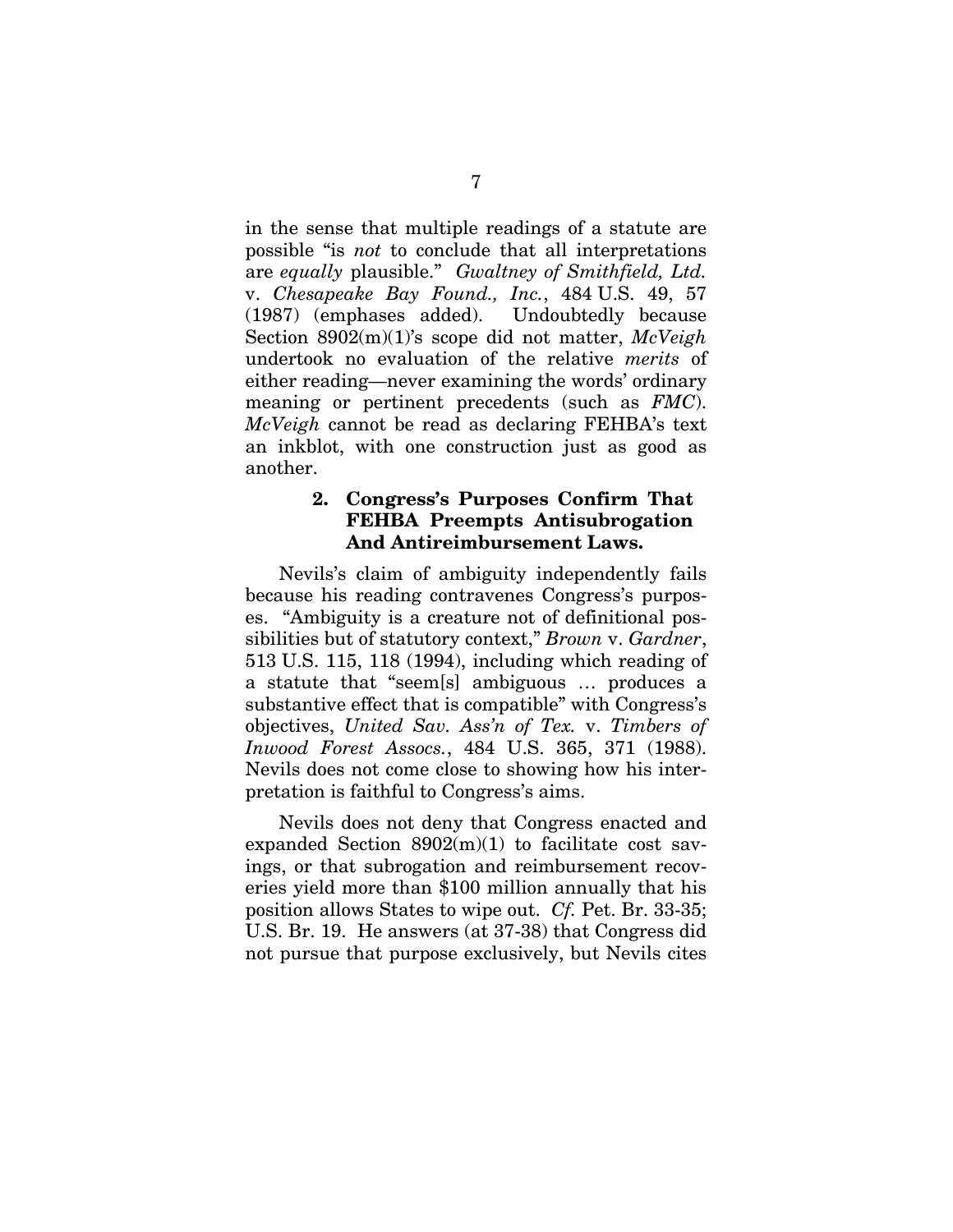in the sense that multiple readings of a statute are possible "is *not* to conclude that all interpretations are *equally* plausible." *Gwaltney of Smithfield, Ltd.* v. *Chesapeake Bay Found., Inc.*, 484 U.S. 49, 57 (1987) (emphases added). Undoubtedly because Section 8902(m)(1)'s scope did not matter, *McVeigh*  undertook no evaluation of the relative *merits* of either reading—never examining the words' ordinary meaning or pertinent precedents (such as *FMC*). *McVeigh* cannot be read as declaring FEHBA's text an inkblot, with one construction just as good as another.

### **2. Congress's Purposes Confirm That FEHBA Preempts Antisubrogation And Antireimbursement Laws.**

Nevils's claim of ambiguity independently fails because his reading contravenes Congress's purposes. "Ambiguity is a creature not of definitional possibilities but of statutory context," *Brown* v. *Gardner*, 513 U.S. 115, 118 (1994), including which reading of a statute that "seem[s] ambiguous … produces a substantive effect that is compatible" with Congress's objectives, *United Sav. Ass'n of Tex.* v. *Timbers of Inwood Forest Assocs.*, 484 U.S. 365, 371 (1988). Nevils does not come close to showing how his interpretation is faithful to Congress's aims.

Nevils does not deny that Congress enacted and expanded Section  $8902(m)(1)$  to facilitate cost savings, or that subrogation and reimbursement recoveries yield more than \$100 million annually that his position allows States to wipe out. *Cf.* Pet. Br. 33-35; U.S. Br. 19. He answers (at 37-38) that Congress did not pursue that purpose exclusively, but Nevils cites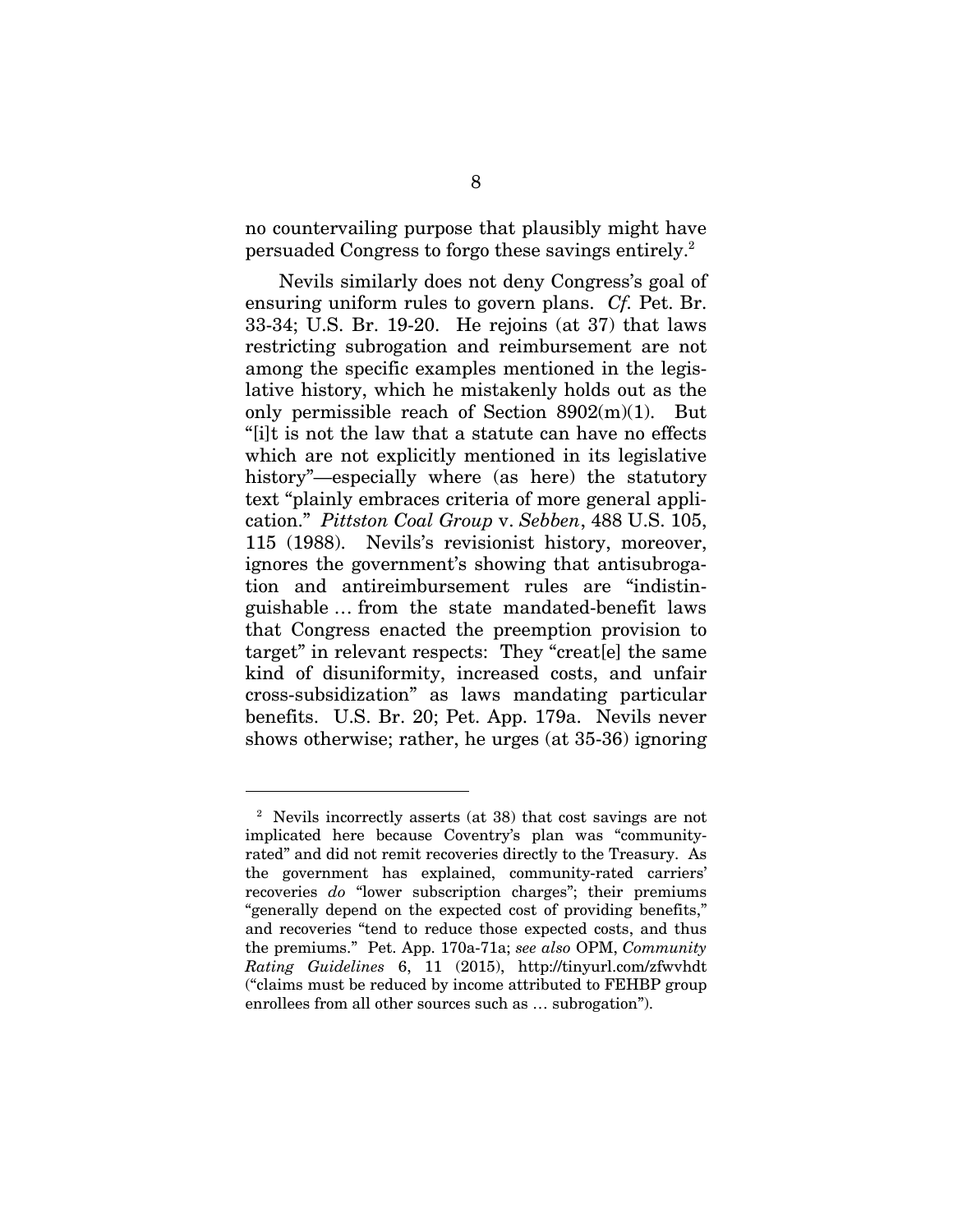no countervailing purpose that plausibly might have persuaded Congress to forgo these savings entirely.2

Nevils similarly does not deny Congress's goal of ensuring uniform rules to govern plans. *Cf.* Pet. Br. 33-34; U.S. Br. 19-20. He rejoins (at 37) that laws restricting subrogation and reimbursement are not among the specific examples mentioned in the legislative history, which he mistakenly holds out as the only permissible reach of Section 8902(m)(1). But "[i]t is not the law that a statute can have no effects which are not explicitly mentioned in its legislative history"—especially where (as here) the statutory text "plainly embraces criteria of more general application." *Pittston Coal Group* v. *Sebben*, 488 U.S. 105, 115 (1988). Nevils's revisionist history, moreover, ignores the government's showing that antisubrogation and antireimbursement rules are "indistinguishable … from the state mandated-benefit laws that Congress enacted the preemption provision to target" in relevant respects: They "creat[e] the same kind of disuniformity, increased costs, and unfair cross-subsidization" as laws mandating particular benefits. U.S. Br. 20; Pet. App. 179a. Nevils never shows otherwise; rather, he urges (at 35-36) ignoring

 $\overline{a}$ 

<sup>2</sup> Nevils incorrectly asserts (at 38) that cost savings are not implicated here because Coventry's plan was "communityrated" and did not remit recoveries directly to the Treasury. As the government has explained, community-rated carriers' recoveries *do* "lower subscription charges"; their premiums "generally depend on the expected cost of providing benefits," and recoveries "tend to reduce those expected costs, and thus the premiums." Pet. App. 170a-71a; *see also* OPM, *Community Rating Guidelines* 6, 11 (2015), http://tinyurl.com/zfwvhdt ("claims must be reduced by income attributed to FEHBP group enrollees from all other sources such as … subrogation").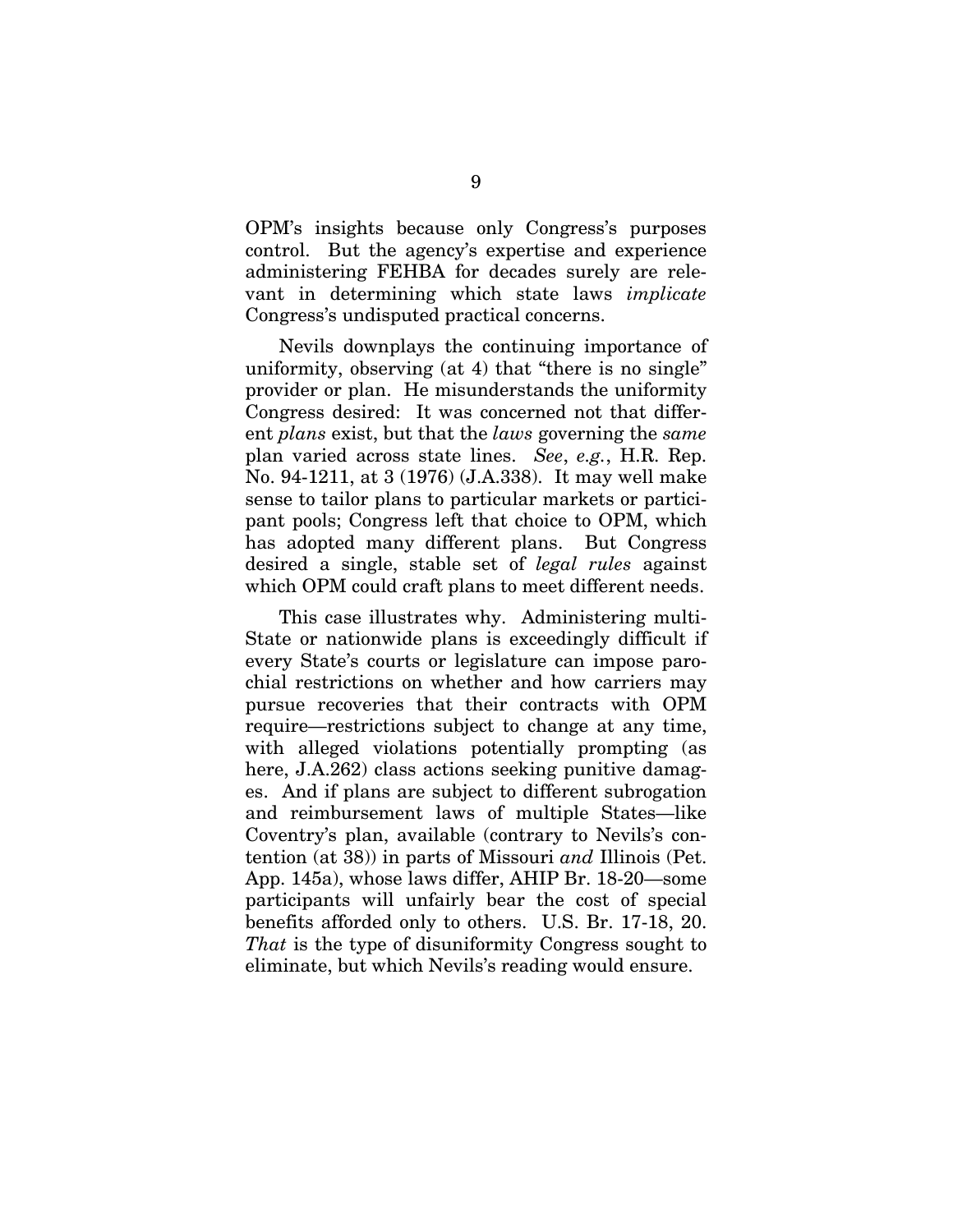OPM's insights because only Congress's purposes control. But the agency's expertise and experience administering FEHBA for decades surely are relevant in determining which state laws *implicate* Congress's undisputed practical concerns.

Nevils downplays the continuing importance of uniformity, observing (at 4) that "there is no single" provider or plan. He misunderstands the uniformity Congress desired: It was concerned not that different *plans* exist, but that the *laws* governing the *same* plan varied across state lines. *See*, *e.g.*, H.R. Rep. No. 94-1211, at 3 (1976) (J.A.338). It may well make sense to tailor plans to particular markets or participant pools; Congress left that choice to OPM, which has adopted many different plans. But Congress desired a single, stable set of *legal rules* against which OPM could craft plans to meet different needs.

This case illustrates why. Administering multi-State or nationwide plans is exceedingly difficult if every State's courts or legislature can impose parochial restrictions on whether and how carriers may pursue recoveries that their contracts with OPM require—restrictions subject to change at any time, with alleged violations potentially prompting (as here, J.A.262) class actions seeking punitive damages. And if plans are subject to different subrogation and reimbursement laws of multiple States—like Coventry's plan, available (contrary to Nevils's contention (at 38)) in parts of Missouri *and* Illinois (Pet. App. 145a), whose laws differ, AHIP Br. 18-20—some participants will unfairly bear the cost of special benefits afforded only to others. U.S. Br. 17-18, 20. *That* is the type of disuniformity Congress sought to eliminate, but which Nevils's reading would ensure.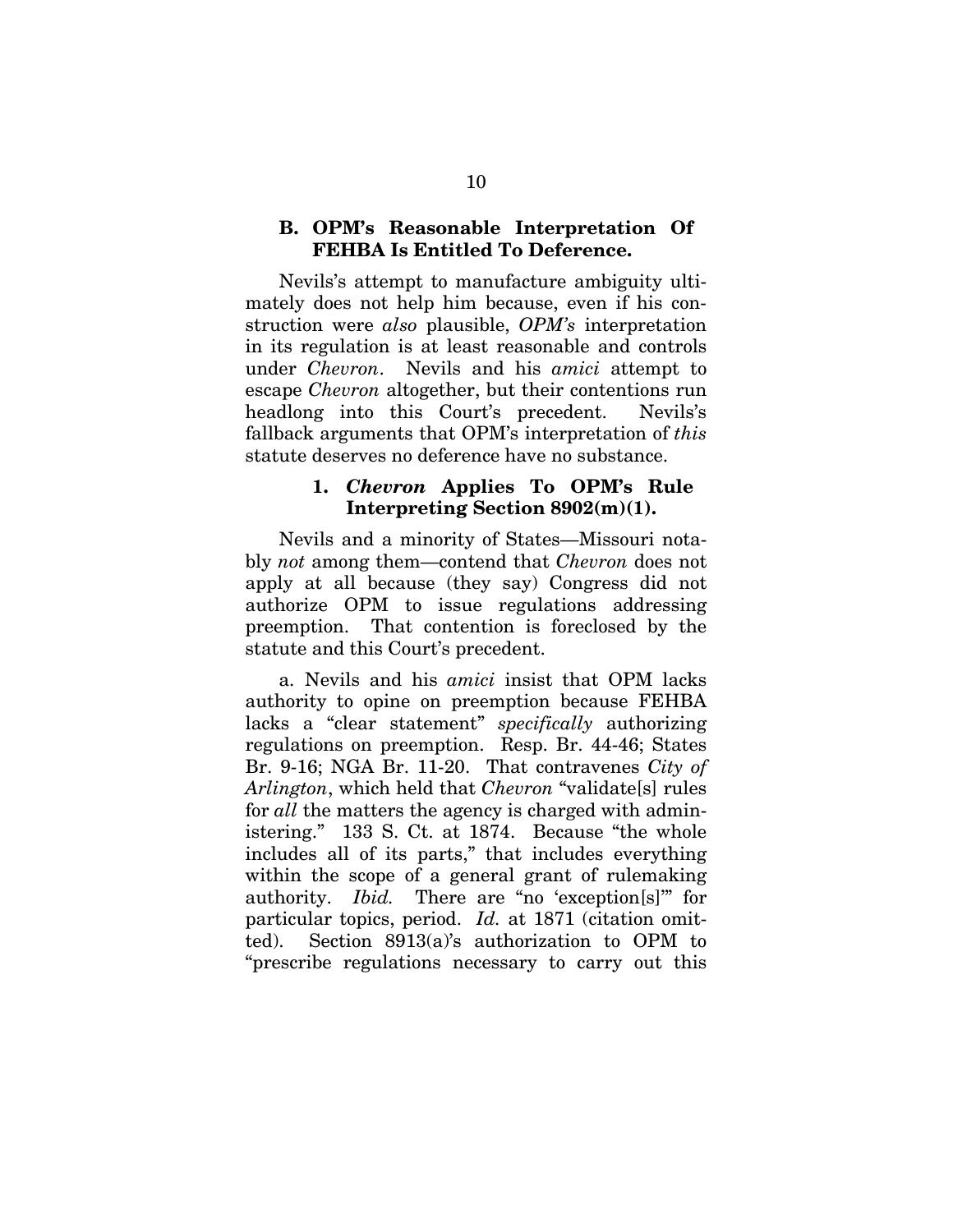### **B. OPM's Reasonable Interpretation Of FEHBA Is Entitled To Deference.**

Nevils's attempt to manufacture ambiguity ultimately does not help him because, even if his construction were *also* plausible, *OPM's* interpretation in its regulation is at least reasonable and controls under *Chevron*. Nevils and his *amici* attempt to escape *Chevron* altogether, but their contentions run headlong into this Court's precedent. Nevils's fallback arguments that OPM's interpretation of *this* statute deserves no deference have no substance.

### **1.** *Chevron* **Applies To OPM's Rule Interpreting Section 8902(m)(1).**

Nevils and a minority of States—Missouri notably *not* among them—contend that *Chevron* does not apply at all because (they say) Congress did not authorize OPM to issue regulations addressing preemption. That contention is foreclosed by the statute and this Court's precedent.

a. Nevils and his *amici* insist that OPM lacks authority to opine on preemption because FEHBA lacks a "clear statement" *specifically* authorizing regulations on preemption. Resp. Br. 44-46; States Br. 9-16; NGA Br. 11-20. That contravenes *City of Arlington*, which held that *Chevron* "validate[s] rules for *all* the matters the agency is charged with administering." 133 S. Ct. at 1874.Because "the whole includes all of its parts," that includes everything within the scope of a general grant of rulemaking authority. *Ibid.* There are "no 'exception[s]'" for particular topics, period. *Id.* at 1871 (citation omitted). Section 8913(a)'s authorization to OPM to "prescribe regulations necessary to carry out this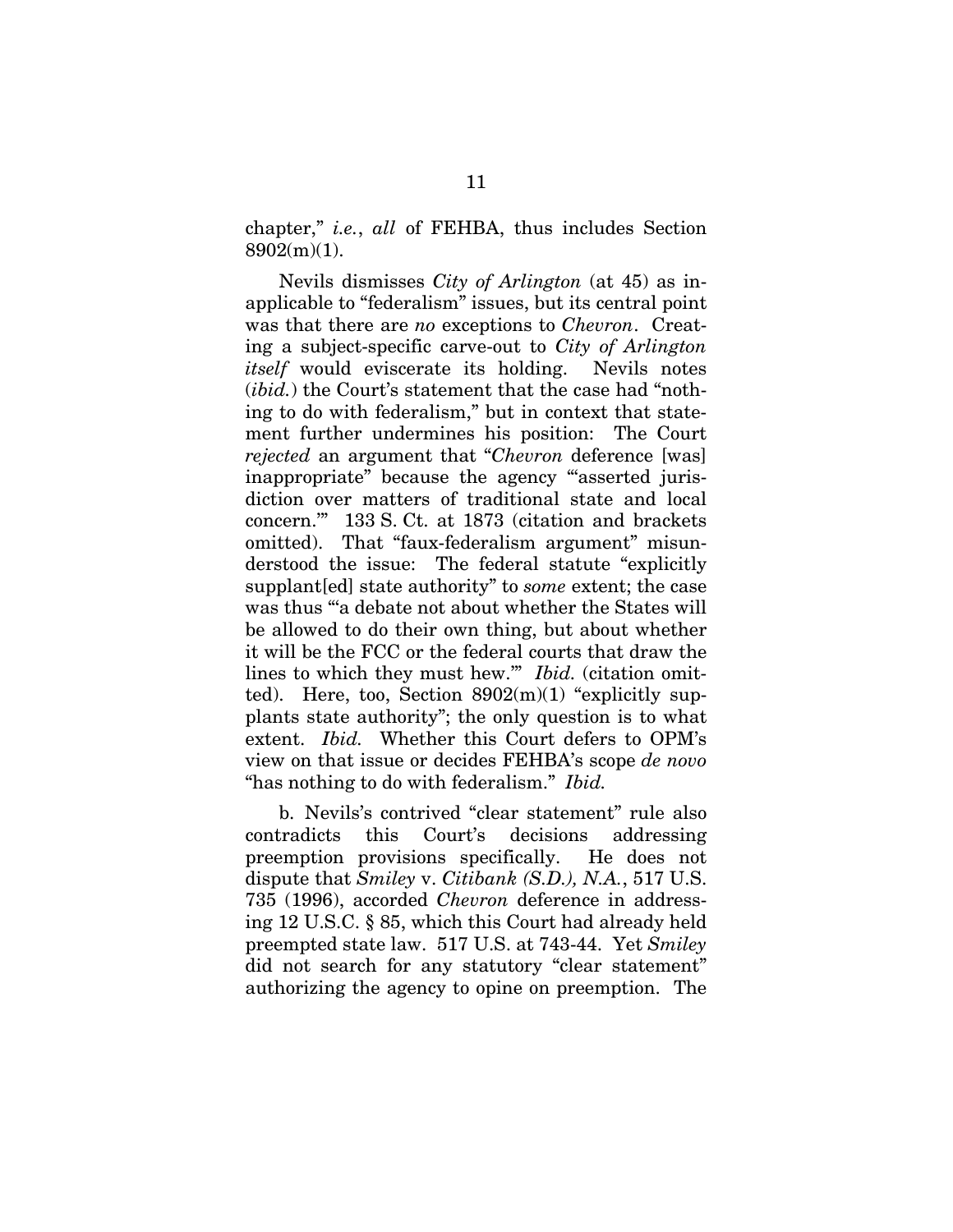chapter," *i.e.*, *all* of FEHBA, thus includes Section 8902(m)(1).

Nevils dismisses *City of Arlington* (at 45) as inapplicable to "federalism" issues, but its central point was that there are *no* exceptions to *Chevron*. Creating a subject-specific carve-out to *City of Arlington itself* would eviscerate its holding. Nevils notes (*ibid.*) the Court's statement that the case had "nothing to do with federalism," but in context that statement further undermines his position: The Court *rejected* an argument that "*Chevron* deference [was] inappropriate" because the agency "asserted jurisdiction over matters of traditional state and local concern.'" 133 S. Ct. at 1873 (citation and brackets omitted). That "faux-federalism argument" misunderstood the issue: The federal statute "explicitly supplant[ed] state authority" to *some* extent; the case was thus "'a debate not about whether the States will be allowed to do their own thing, but about whether it will be the FCC or the federal courts that draw the lines to which they must hew.'" *Ibid.* (citation omitted). Here, too, Section  $8902(m)(1)$  "explicitly supplants state authority"; the only question is to what extent. *Ibid.* Whether this Court defers to OPM's view on that issue or decides FEHBA's scope *de novo*  "has nothing to do with federalism." *Ibid.* 

b. Nevils's contrived "clear statement" rule also contradicts this Court's decisions addressing preemption provisions specifically. He does not dispute that *Smiley* v. *Citibank (S.D.), N.A.*, 517 U.S. 735 (1996), accorded *Chevron* deference in addressing 12 U.S.C. § 85, which this Court had already held preempted state law. 517 U.S. at 743-44. Yet *Smiley*  did not search for any statutory "clear statement" authorizing the agency to opine on preemption. The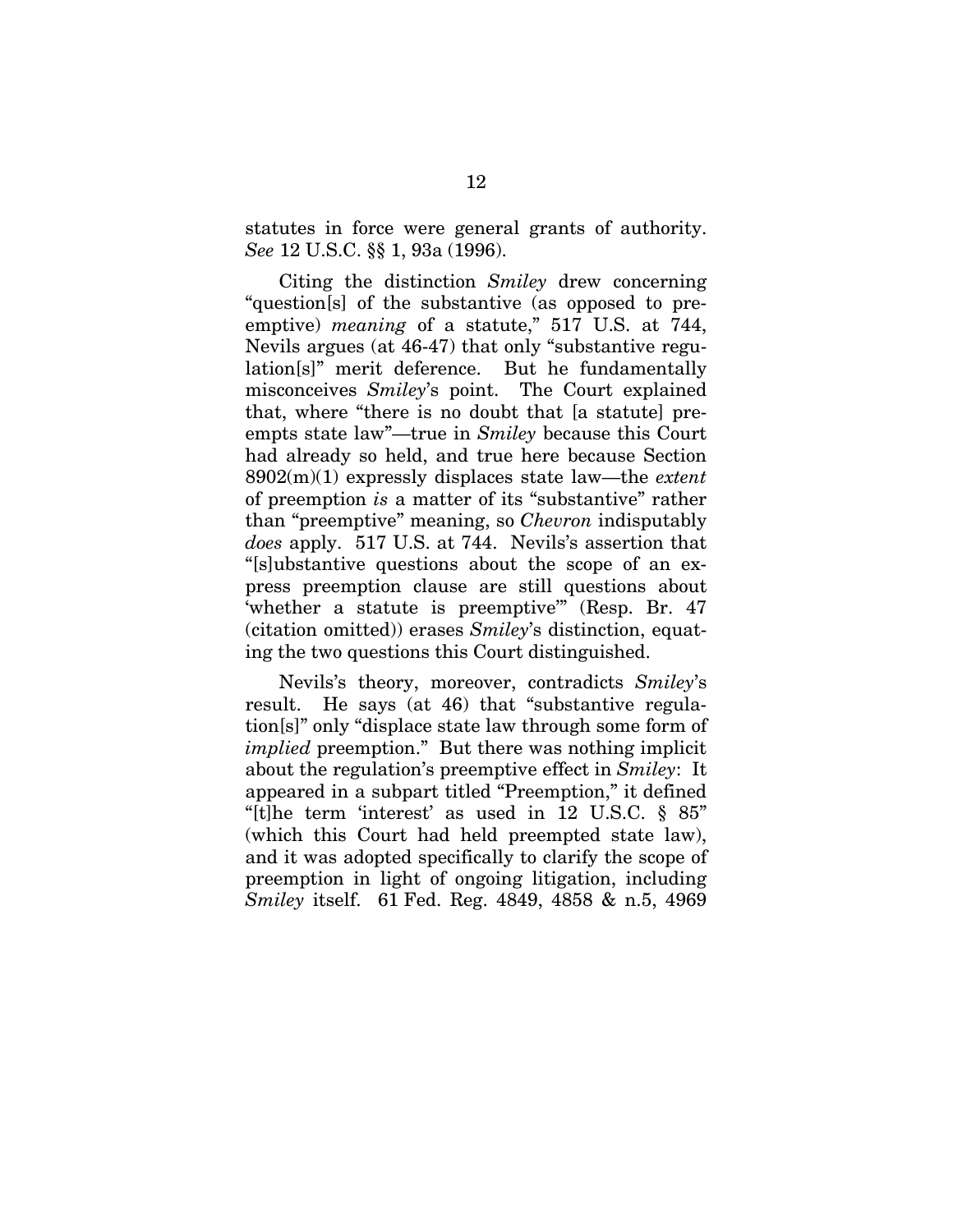statutes in force were general grants of authority. *See* 12 U.S.C. §§ 1, 93a (1996).

Citing the distinction *Smiley* drew concerning "question[s] of the substantive (as opposed to preemptive) *meaning* of a statute," 517 U.S. at 744, Nevils argues (at 46-47) that only "substantive regulation[s]" merit deference. But he fundamentally misconceives *Smiley*'s point. The Court explained that, where "there is no doubt that [a statute] preempts state law"—true in *Smiley* because this Court had already so held, and true here because Section 8902(m)(1) expressly displaces state law—the *extent*  of preemption *is* a matter of its "substantive" rather than "preemptive" meaning, so *Chevron* indisputably *does* apply. 517 U.S. at 744. Nevils's assertion that "[s]ubstantive questions about the scope of an express preemption clause are still questions about 'whether a statute is preemptive'" (Resp. Br. 47 (citation omitted)) erases *Smiley*'s distinction, equating the two questions this Court distinguished.

Nevils's theory, moreover, contradicts *Smiley*'s result. He says (at 46) that "substantive regulation[s]" only "displace state law through some form of *implied* preemption." But there was nothing implicit about the regulation's preemptive effect in *Smiley*: It appeared in a subpart titled "Preemption," it defined "[t] he term 'interest' as used in 12 U.S.C.  $\S$  85" (which this Court had held preempted state law), and it was adopted specifically to clarify the scope of preemption in light of ongoing litigation, including *Smiley* itself. 61 Fed. Reg. 4849, 4858 & n.5, 4969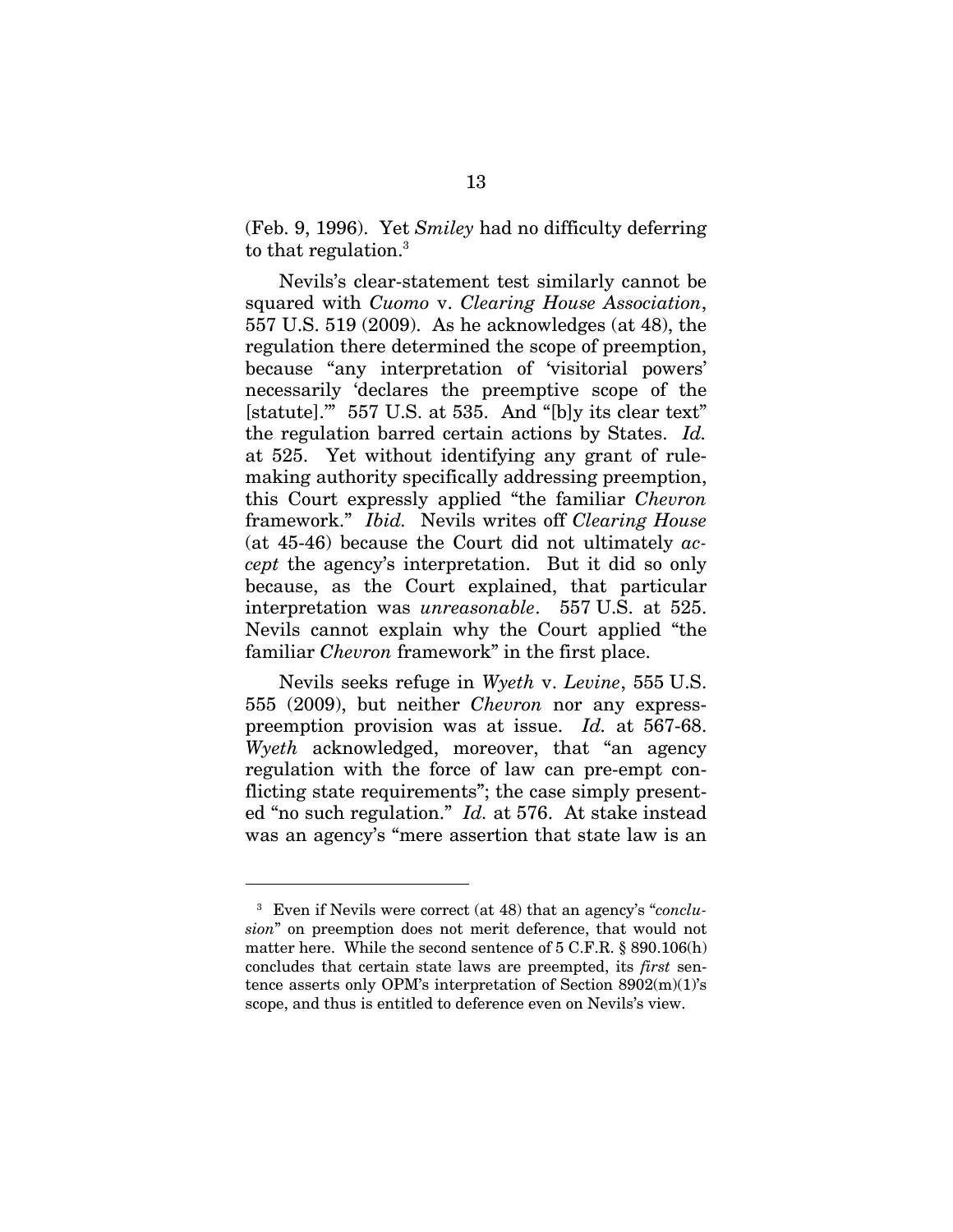(Feb. 9, 1996). Yet *Smiley* had no difficulty deferring to that regulation.<sup>3</sup>

Nevils's clear-statement test similarly cannot be squared with *Cuomo* v. *Clearing House Association*, 557 U.S. 519 (2009). As he acknowledges (at 48), the regulation there determined the scope of preemption, because "any interpretation of 'visitorial powers' necessarily 'declares the preemptive scope of the [statute].'" 557 U.S. at 535. And "[b]y its clear text" the regulation barred certain actions by States. *Id.* at 525. Yet without identifying any grant of rulemaking authority specifically addressing preemption, this Court expressly applied "the familiar *Chevron*  framework." *Ibid.* Nevils writes off *Clearing House*  (at 45-46) because the Court did not ultimately *accept* the agency's interpretation. But it did so only because, as the Court explained, that particular interpretation was *unreasonable*. 557 U.S. at 525. Nevils cannot explain why the Court applied "the familiar *Chevron* framework" in the first place.

Nevils seeks refuge in *Wyeth* v. *Levine*, 555 U.S. 555 (2009), but neither *Chevron* nor any expresspreemption provision was at issue. *Id.* at 567-68. *Wyeth* acknowledged, moreover, that "an agency regulation with the force of law can pre-empt conflicting state requirements"; the case simply presented "no such regulation." *Id.* at 576. At stake instead was an agency's "mere assertion that state law is an

 $\overline{a}$ 

<sup>3</sup> Even if Nevils were correct (at 48) that an agency's "*conclusion*" on preemption does not merit deference, that would not matter here. While the second sentence of 5 C.F.R. § 890.106(h) concludes that certain state laws are preempted, its *first* sentence asserts only OPM's interpretation of Section 8902(m)(1)'s scope, and thus is entitled to deference even on Nevils's view.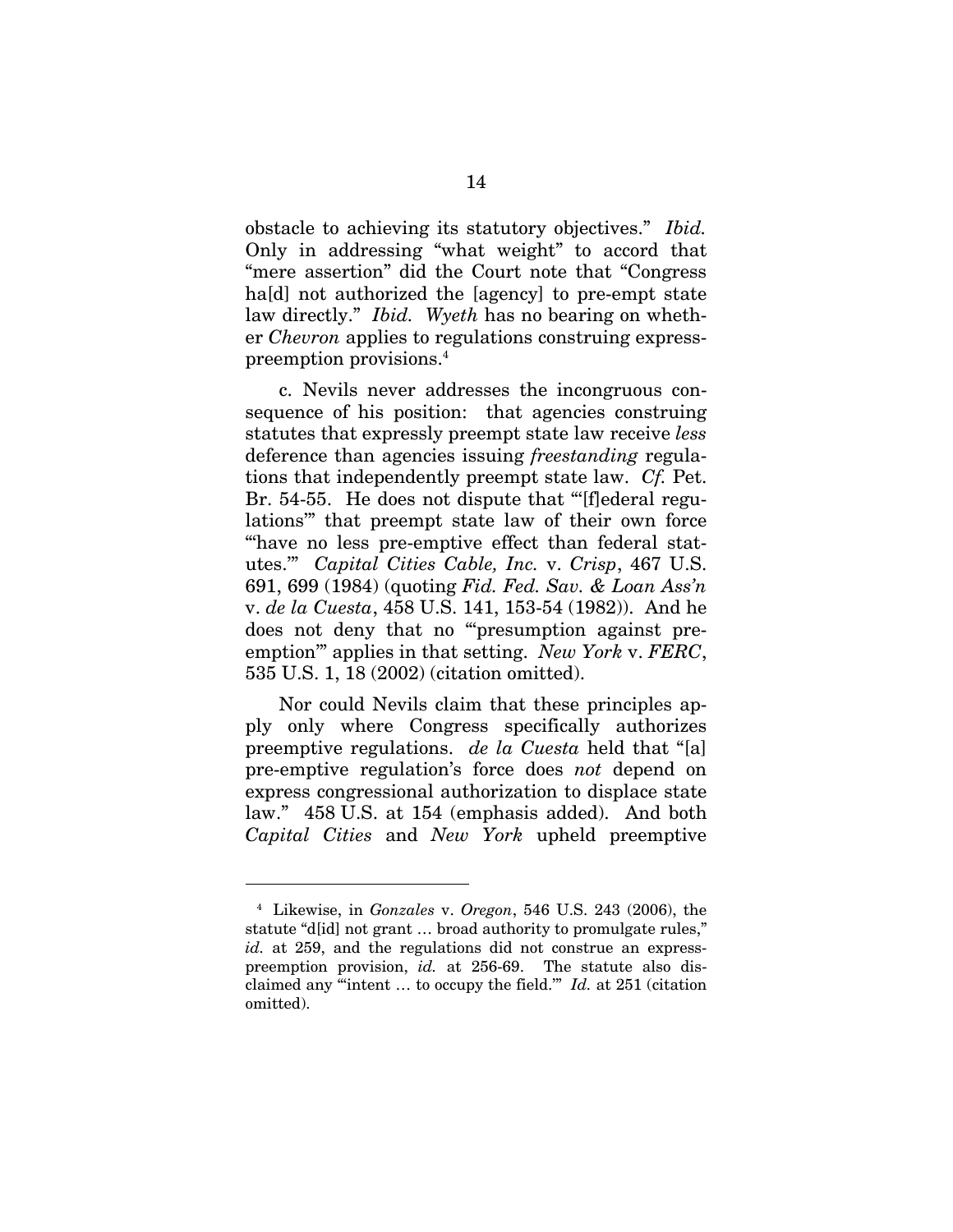obstacle to achieving its statutory objectives." *Ibid.*  Only in addressing "what weight" to accord that "mere assertion" did the Court note that "Congress ha<sup>[d]</sup> not authorized the [agency] to pre-empt state law directly." *Ibid. Wyeth* has no bearing on whether *Chevron* applies to regulations construing expresspreemption provisions.4

c. Nevils never addresses the incongruous consequence of his position: that agencies construing statutes that expressly preempt state law receive *less*  deference than agencies issuing *freestanding* regulations that independently preempt state law. *Cf.* Pet. Br. 54-55. He does not dispute that "[f]ederal regulations'" that preempt state law of their own force "have no less pre-emptive effect than federal statutes.'" *Capital Cities Cable, Inc.* v. *Crisp*, 467 U.S. 691, 699 (1984) (quoting *Fid. Fed. Sav. & Loan Ass'n* v. *de la Cuesta*, 458 U.S. 141, 153-54 (1982)). And he does not deny that no "'presumption against preemption'" applies in that setting. *New York* v. *FERC*, 535 U.S. 1, 18 (2002) (citation omitted).

Nor could Nevils claim that these principles apply only where Congress specifically authorizes preemptive regulations. *de la Cuesta* held that "[a] pre-emptive regulation's force does *not* depend on express congressional authorization to displace state law." 458 U.S. at 154 (emphasis added). And both *Capital Cities* and *New York* upheld preemptive

 $\overline{a}$ 

<sup>4</sup> Likewise, in *Gonzales* v. *Oregon*, 546 U.S. 243 (2006), the statute "d[id] not grant … broad authority to promulgate rules," *id.* at 259, and the regulations did not construe an expresspreemption provision, *id.* at 256-69. The statute also disclaimed any "'intent … to occupy the field.'" *Id.* at 251 (citation omitted).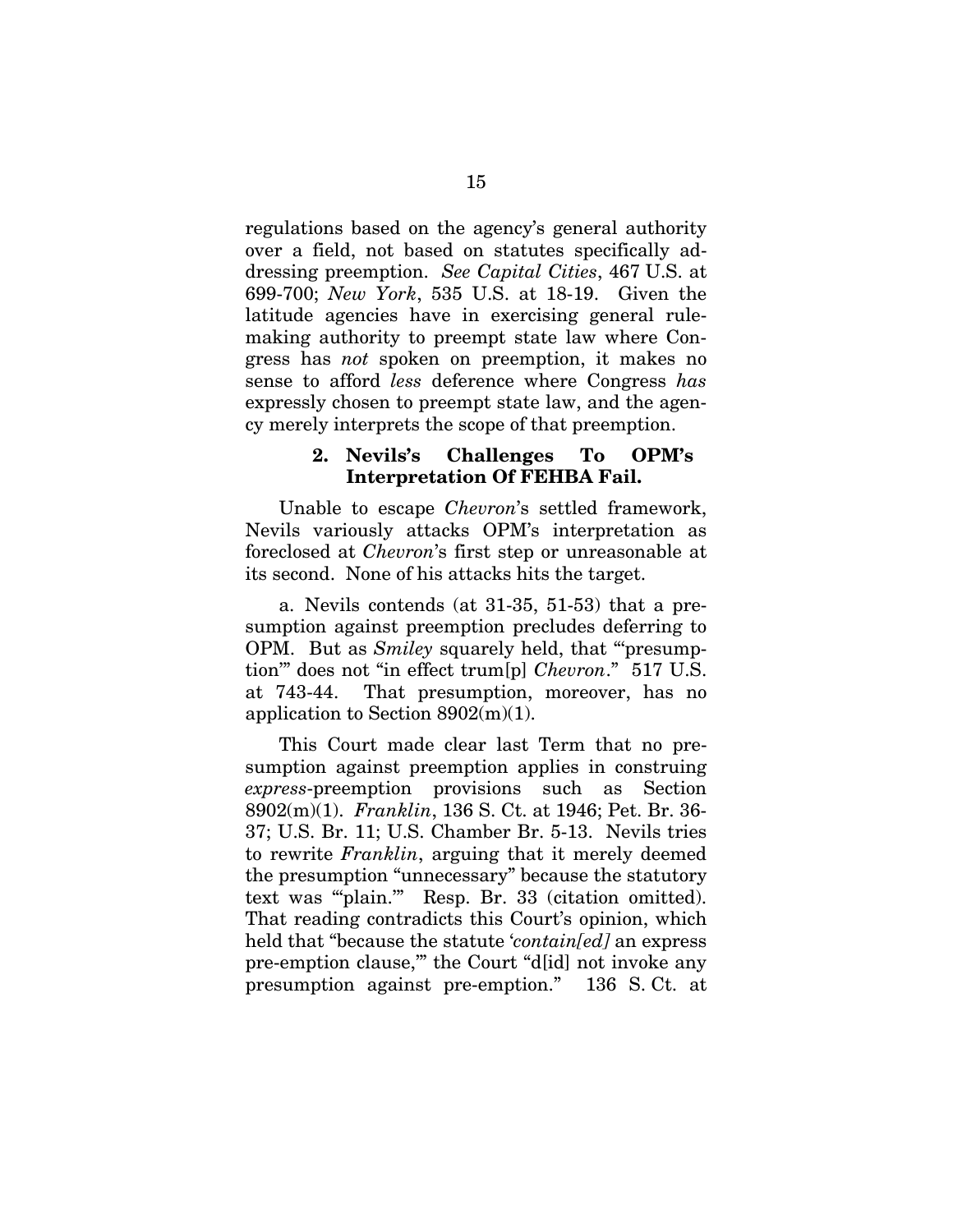regulations based on the agency's general authority over a field, not based on statutes specifically addressing preemption. *See Capital Cities*, 467 U.S. at 699-700; *New York*, 535 U.S. at 18-19. Given the latitude agencies have in exercising general rulemaking authority to preempt state law where Congress has *not* spoken on preemption, it makes no sense to afford *less* deference where Congress *has* expressly chosen to preempt state law, and the agency merely interprets the scope of that preemption.

### **2. Nevils's Challenges To OPM's Interpretation Of FEHBA Fail.**

Unable to escape *Chevron*'s settled framework, Nevils variously attacks OPM's interpretation as foreclosed at *Chevron*'s first step or unreasonable at its second. None of his attacks hits the target.

a. Nevils contends (at 31-35, 51-53) that a presumption against preemption precludes deferring to OPM. But as *Smiley* squarely held, that "'presumption'" does not "in effect trum[p] *Chevron*." 517 U.S. at 743-44. That presumption, moreover, has no application to Section 8902(m)(1).

This Court made clear last Term that no presumption against preemption applies in construing *express*-preemption provisions such as Section 8902(m)(1). *Franklin*, 136 S. Ct. at 1946; Pet. Br. 36- 37; U.S. Br. 11; U.S. Chamber Br. 5-13. Nevils tries to rewrite *Franklin*, arguing that it merely deemed the presumption "unnecessary" because the statutory text was "'plain.'" Resp. Br. 33 (citation omitted). That reading contradicts this Court's opinion, which held that "because the statute '*contain[ed]* an express pre-emption clause,'" the Court "d[id] not invoke any presumption against pre-emption." 136 S. Ct. at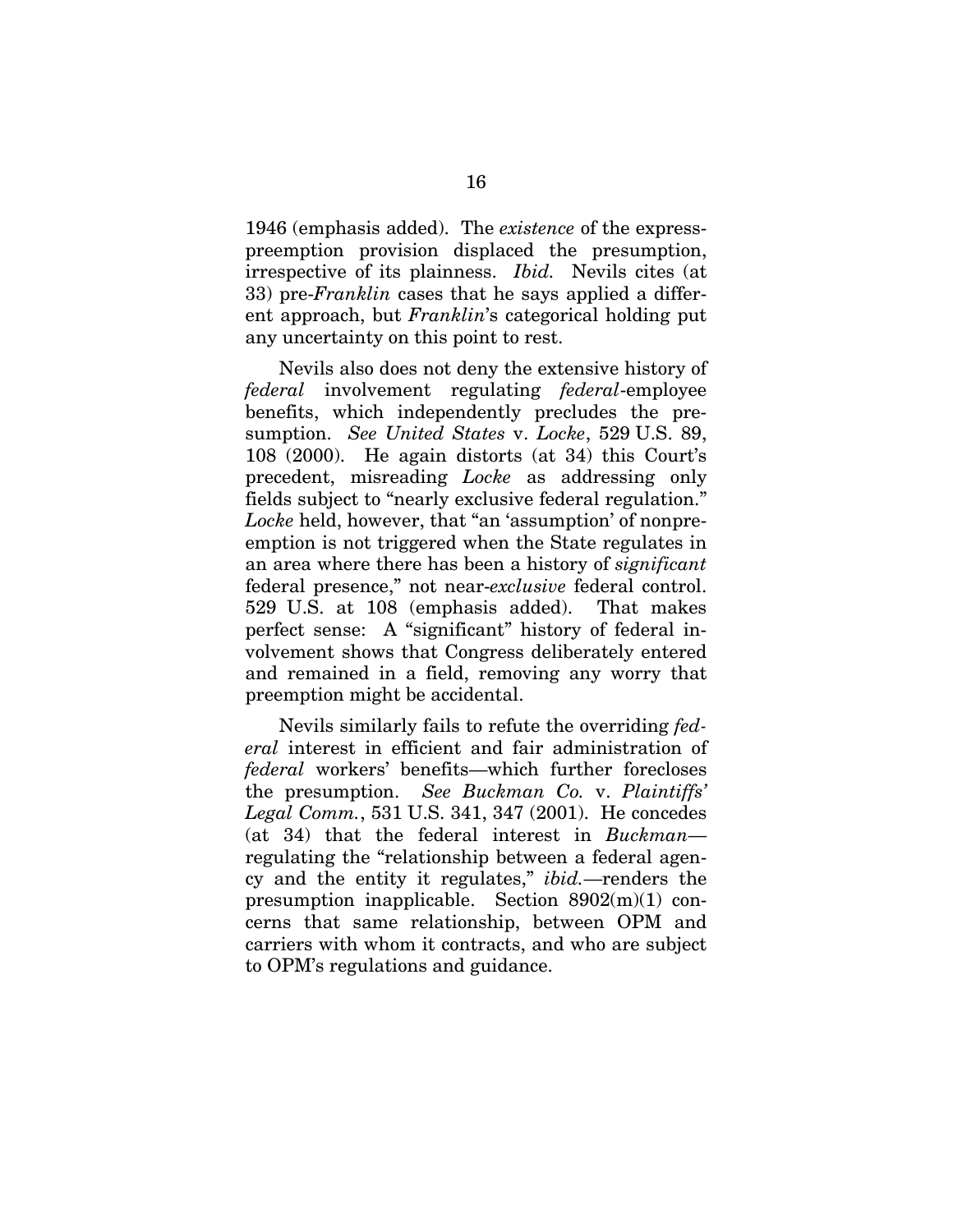1946 (emphasis added). The *existence* of the expresspreemption provision displaced the presumption, irrespective of its plainness. *Ibid.* Nevils cites (at 33) pre-*Franklin* cases that he says applied a different approach, but *Franklin*'s categorical holding put any uncertainty on this point to rest.

Nevils also does not deny the extensive history of *federal* involvement regulating *federal*-employee benefits, which independently precludes the presumption. *See United States* v. *Locke*, 529 U.S. 89, 108 (2000). He again distorts (at 34) this Court's precedent, misreading *Locke* as addressing only fields subject to "nearly exclusive federal regulation." *Locke* held, however, that "an 'assumption' of nonpreemption is not triggered when the State regulates in an area where there has been a history of *significant* federal presence," not near-*exclusive* federal control. 529 U.S. at 108 (emphasis added). That makes perfect sense: A "significant" history of federal involvement shows that Congress deliberately entered and remained in a field, removing any worry that preemption might be accidental.

Nevils similarly fails to refute the overriding *federal* interest in efficient and fair administration of *federal* workers' benefits—which further forecloses the presumption. *See Buckman Co.* v. *Plaintiffs' Legal Comm.*, 531 U.S. 341, 347 (2001). He concedes (at 34) that the federal interest in *Buckman* regulating the "relationship between a federal agency and the entity it regulates," *ibid.*—renders the presumption inapplicable. Section 8902(m)(1) concerns that same relationship, between OPM and carriers with whom it contracts, and who are subject to OPM's regulations and guidance.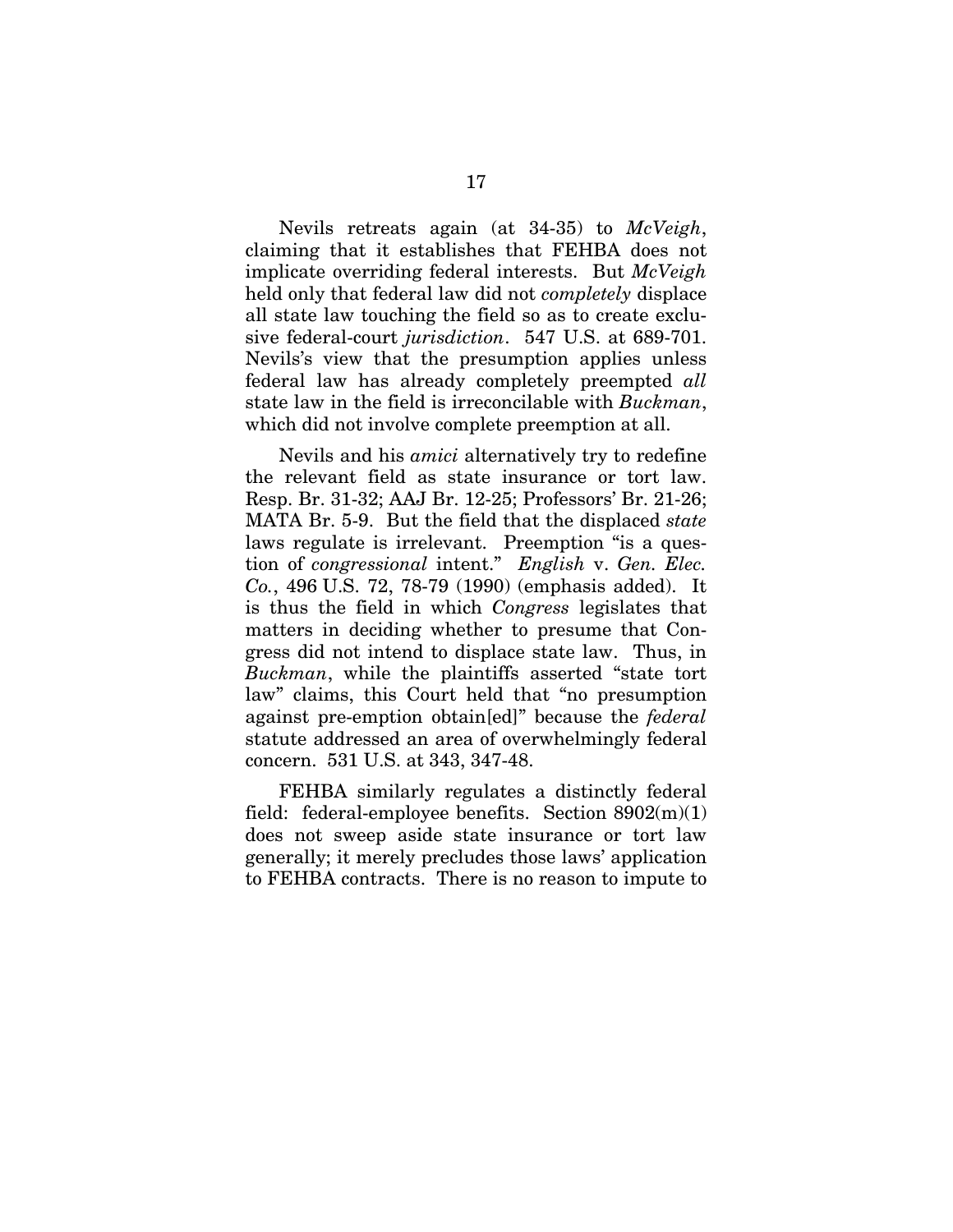Nevils retreats again (at 34-35) to *McVeigh*, claiming that it establishes that FEHBA does not implicate overriding federal interests. But *McVeigh* held only that federal law did not *completely* displace all state law touching the field so as to create exclusive federal-court *jurisdiction*. 547 U.S. at 689-701. Nevils's view that the presumption applies unless federal law has already completely preempted *all* state law in the field is irreconcilable with *Buckman*, which did not involve complete preemption at all.

Nevils and his *amici* alternatively try to redefine the relevant field as state insurance or tort law. Resp. Br. 31-32; AAJ Br. 12-25; Professors' Br. 21-26; MATA Br. 5-9. But the field that the displaced *state*  laws regulate is irrelevant. Preemption "is a question of *congressional* intent." *English* v. *Gen. Elec. Co.*, 496 U.S. 72, 78-79 (1990) (emphasis added). It is thus the field in which *Congress* legislates that matters in deciding whether to presume that Congress did not intend to displace state law. Thus, in *Buckman*, while the plaintiffs asserted "state tort law" claims, this Court held that "no presumption against pre-emption obtain[ed]" because the *federal*  statute addressed an area of overwhelmingly federal concern. 531 U.S. at 343, 347-48.

FEHBA similarly regulates a distinctly federal field: federal-employee benefits. Section  $8902(m)(1)$ does not sweep aside state insurance or tort law generally; it merely precludes those laws' application to FEHBA contracts. There is no reason to impute to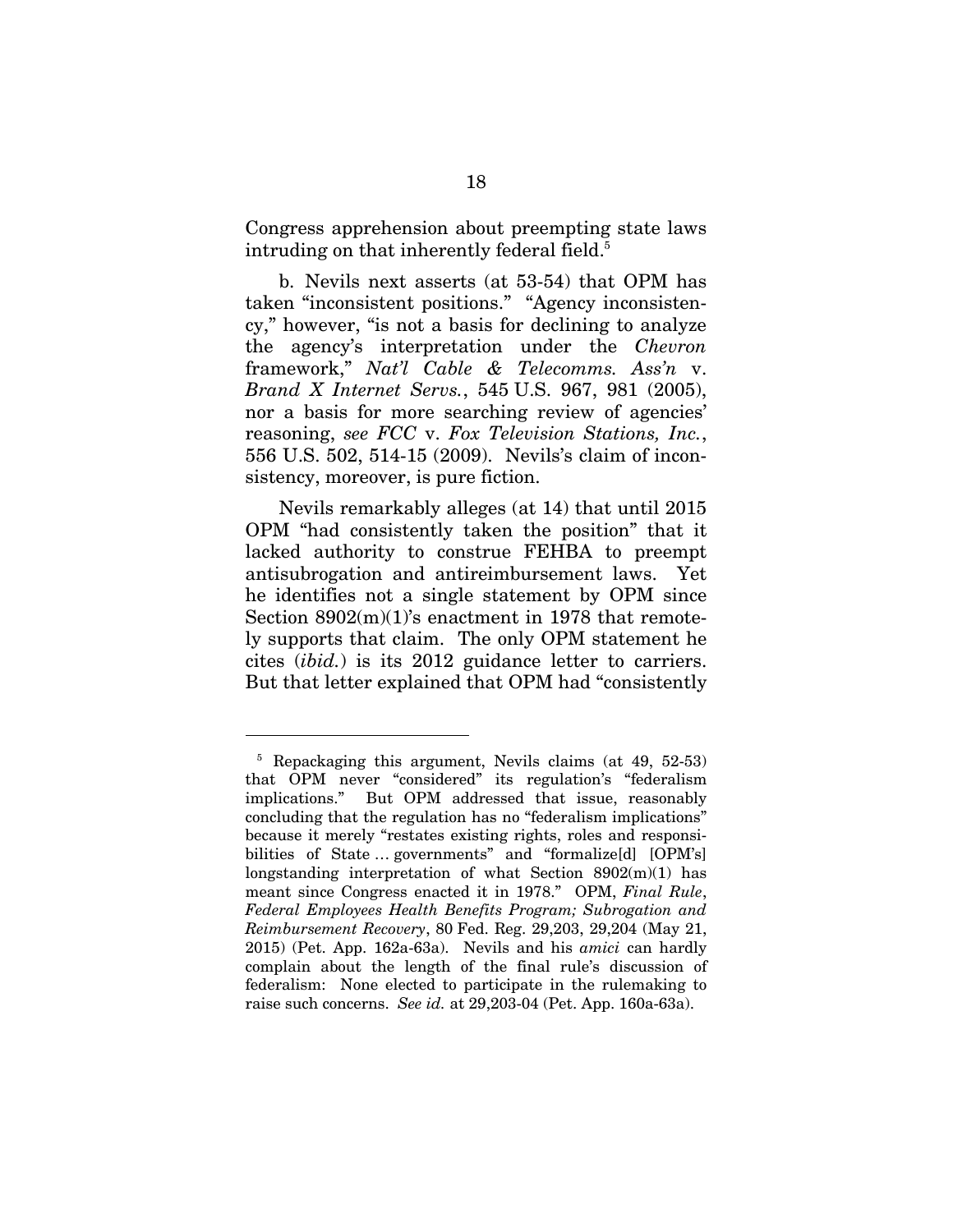Congress apprehension about preempting state laws intruding on that inherently federal field.<sup>5</sup>

b. Nevils next asserts (at 53-54) that OPM has taken "inconsistent positions." "Agency inconsistency," however, "is not a basis for declining to analyze the agency's interpretation under the *Chevron*  framework," *Nat'l Cable & Telecomms. Ass'n* v. *Brand X Internet Servs.*, 545 U.S. 967, 981 (2005), nor a basis for more searching review of agencies' reasoning, *see FCC* v. *Fox Television Stations, Inc.*, 556 U.S. 502, 514-15 (2009). Nevils's claim of inconsistency, moreover, is pure fiction.

Nevils remarkably alleges (at 14) that until 2015 OPM "had consistently taken the position" that it lacked authority to construe FEHBA to preempt antisubrogation and antireimbursement laws. Yet he identifies not a single statement by OPM since Section 8902(m)(1)'s enactment in 1978 that remotely supports that claim. The only OPM statement he cites (*ibid.*) is its 2012 guidance letter to carriers. But that letter explained that OPM had "consistently

 $\overline{a}$ 

<sup>5</sup> Repackaging this argument, Nevils claims (at 49, 52-53) that OPM never "considered" its regulation's "federalism implications." But OPM addressed that issue, reasonably concluding that the regulation has no "federalism implications" because it merely "restates existing rights, roles and responsibilities of State … governments" and "formalize[d] [OPM's] longstanding interpretation of what Section 8902(m)(1) has meant since Congress enacted it in 1978." OPM, *Final Rule*, *Federal Employees Health Benefits Program; Subrogation and Reimbursement Recovery*, 80 Fed. Reg. 29,203, 29,204 (May 21, 2015) (Pet. App. 162a-63a). Nevils and his *amici* can hardly complain about the length of the final rule's discussion of federalism: None elected to participate in the rulemaking to raise such concerns. *See id.* at 29,203-04 (Pet. App. 160a-63a).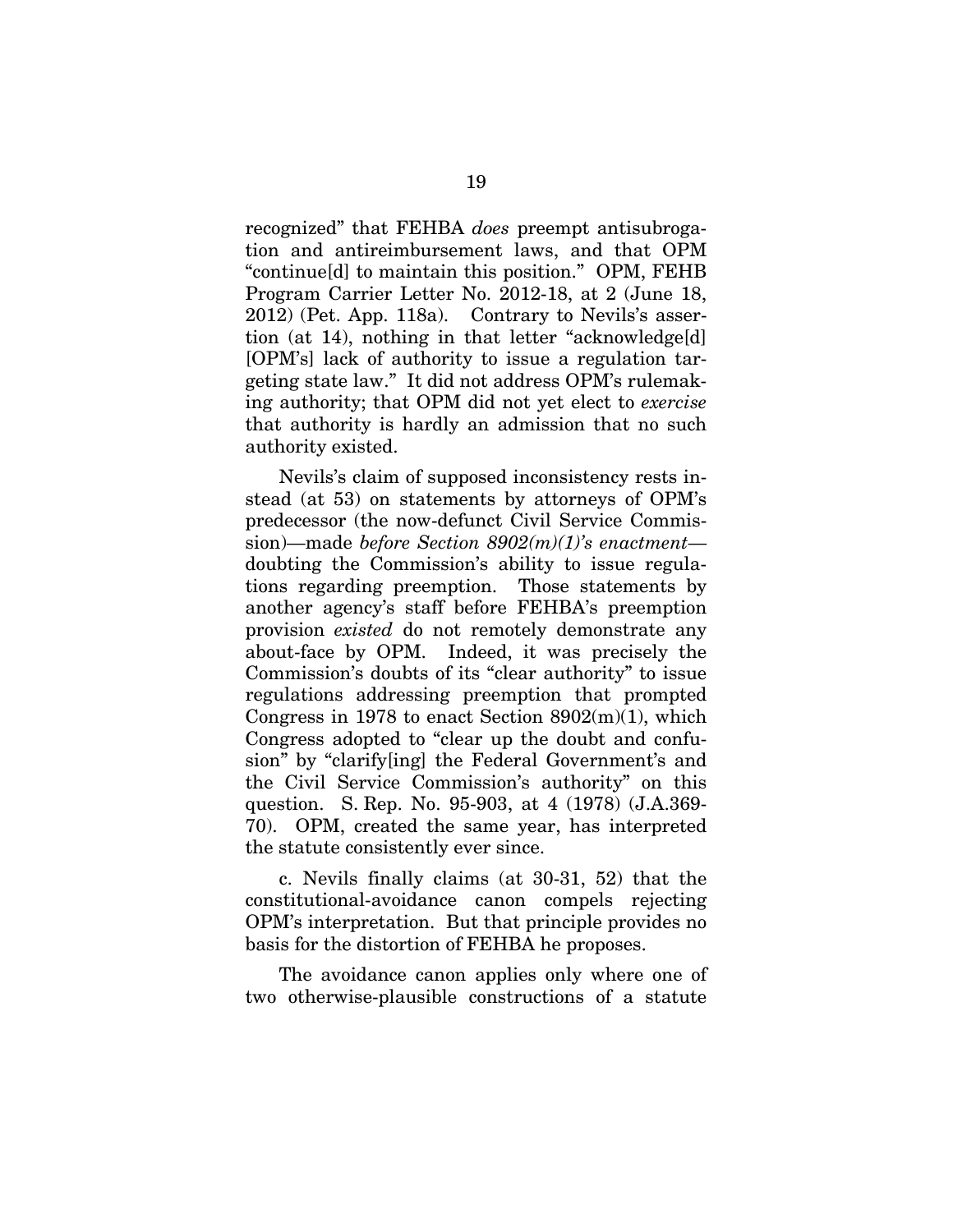recognized" that FEHBA *does* preempt antisubrogation and antireimbursement laws, and that OPM "continue[d] to maintain this position." OPM, FEHB Program Carrier Letter No. 2012-18, at 2 (June 18, 2012) (Pet. App. 118a). Contrary to Nevils's assertion (at 14), nothing in that letter "acknowledge[d] [OPM's] lack of authority to issue a regulation targeting state law." It did not address OPM's rulemaking authority; that OPM did not yet elect to *exercise* that authority is hardly an admission that no such authority existed.

Nevils's claim of supposed inconsistency rests instead (at 53) on statements by attorneys of OPM's predecessor (the now-defunct Civil Service Commission)—made *before Section 8902(m)(1)'s enactment* doubting the Commission's ability to issue regulations regarding preemption. Those statements by another agency's staff before FEHBA's preemption provision *existed* do not remotely demonstrate any about-face by OPM. Indeed, it was precisely the Commission's doubts of its "clear authority" to issue regulations addressing preemption that prompted Congress in 1978 to enact Section  $8902(m)(1)$ , which Congress adopted to "clear up the doubt and confusion" by "clarify[ing] the Federal Government's and the Civil Service Commission's authority" on this question. S. Rep. No. 95-903, at 4 (1978) (J.A.369- 70). OPM, created the same year, has interpreted the statute consistently ever since.

c. Nevils finally claims (at 30-31, 52) that the constitutional-avoidance canon compels rejecting OPM's interpretation. But that principle provides no basis for the distortion of FEHBA he proposes.

The avoidance canon applies only where one of two otherwise-plausible constructions of a statute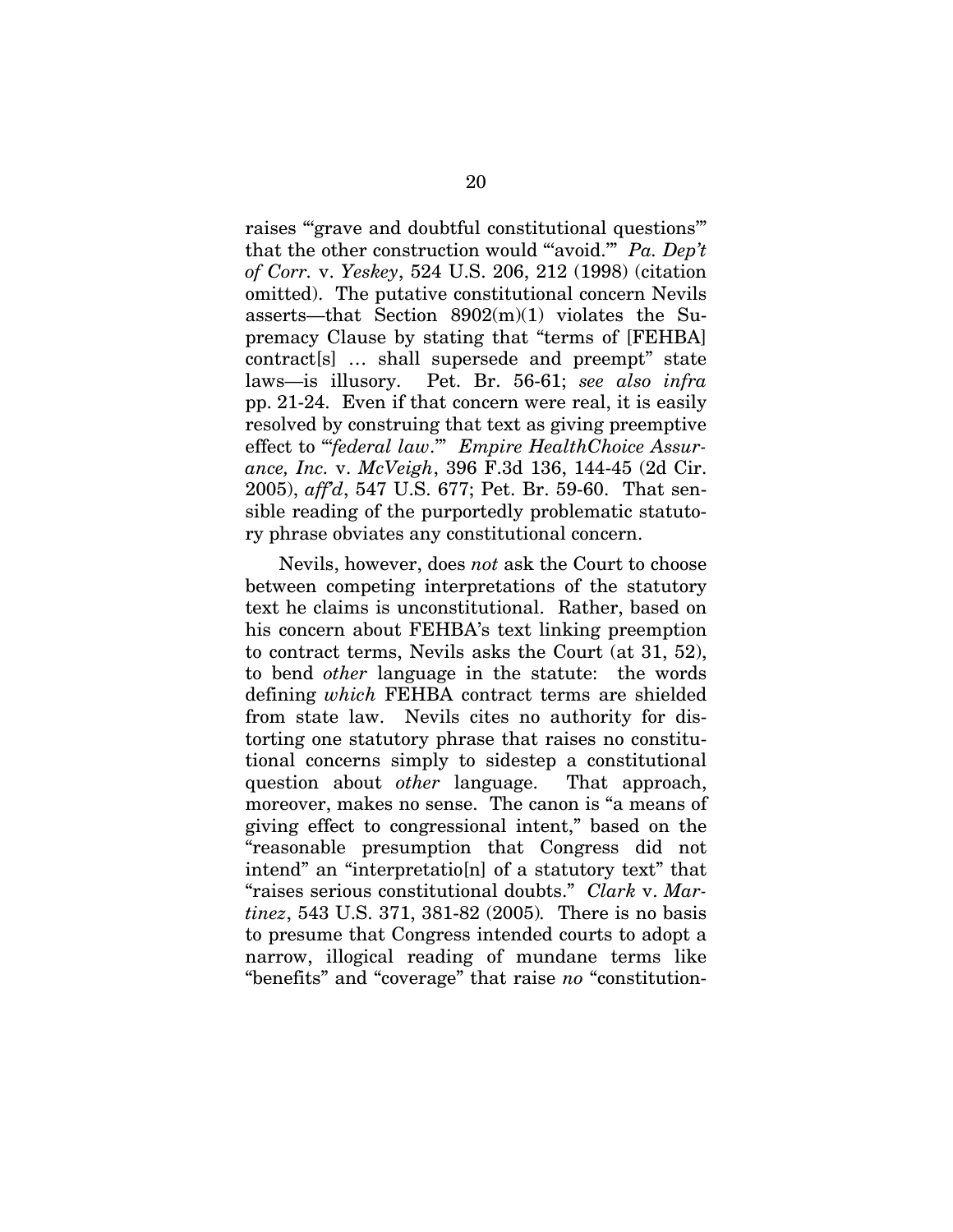raises "'grave and doubtful constitutional questions'" that the other construction would "'avoid.'" *Pa. Dep't of Corr.* v. *Yeskey*, 524 U.S. 206, 212 (1998) (citation omitted). The putative constitutional concern Nevils asserts—that Section 8902(m)(1) violates the Supremacy Clause by stating that "terms of [FEHBA] contract[s] … shall supersede and preempt" state laws—is illusory. Pet. Br. 56-61; *see also infra*  pp. 21-24. Even if that concern were real, it is easily resolved by construing that text as giving preemptive effect to "'*federal law*.'" *Empire HealthChoice Assurance, Inc.* v. *McVeigh*, 396 F.3d 136, 144-45 (2d Cir. 2005), *aff'd*, 547 U.S. 677; Pet. Br. 59-60. That sensible reading of the purportedly problematic statutory phrase obviates any constitutional concern.

Nevils, however, does *not* ask the Court to choose between competing interpretations of the statutory text he claims is unconstitutional. Rather, based on his concern about FEHBA's text linking preemption to contract terms, Nevils asks the Court (at 31, 52), to bend *other* language in the statute: the words defining *which* FEHBA contract terms are shielded from state law. Nevils cites no authority for distorting one statutory phrase that raises no constitutional concerns simply to sidestep a constitutional question about *other* language. That approach, moreover, makes no sense. The canon is "a means of giving effect to congressional intent," based on the "reasonable presumption that Congress did not intend" an "interpretatio[n] of a statutory text" that "raises serious constitutional doubts." *Clark* v. *Martinez*, 543 U.S. 371, 381-82 (2005)*.* There is no basis to presume that Congress intended courts to adopt a narrow, illogical reading of mundane terms like "benefits" and "coverage" that raise *no* "constitution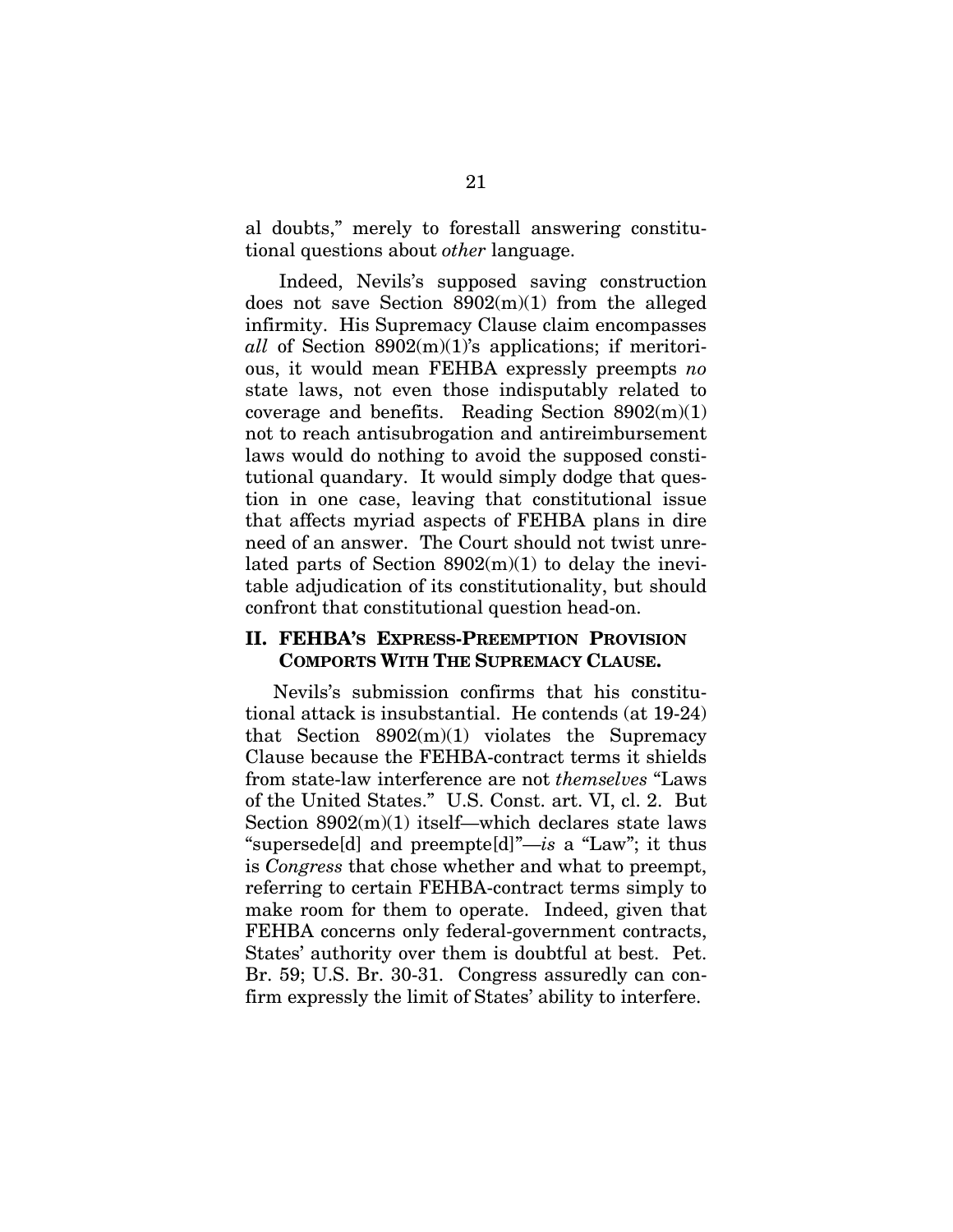al doubts," merely to forestall answering constitutional questions about *other* language.

Indeed, Nevils's supposed saving construction does not save Section 8902(m)(1) from the alleged infirmity. His Supremacy Clause claim encompasses *all* of Section 8902(m)(1)'s applications; if meritorious, it would mean FEHBA expressly preempts *no*  state laws, not even those indisputably related to coverage and benefits. Reading Section  $8902(m)(1)$ not to reach antisubrogation and antireimbursement laws would do nothing to avoid the supposed constitutional quandary. It would simply dodge that question in one case, leaving that constitutional issue that affects myriad aspects of FEHBA plans in dire need of an answer. The Court should not twist unrelated parts of Section  $8902(m)(1)$  to delay the inevitable adjudication of its constitutionality, but should confront that constitutional question head-on.

### **II. FEHBA'S EXPRESS-PREEMPTION PROVISION COMPORTS WITH THE SUPREMACY CLAUSE.**

Nevils's submission confirms that his constitutional attack is insubstantial. He contends (at 19-24) that Section  $8902(m)(1)$  violates the Supremacy Clause because the FEHBA-contract terms it shields from state-law interference are not *themselves* "Laws of the United States." U.S. Const. art. VI, cl. 2. But Section  $8902(m)(1)$  itself—which declares state laws "supersede[d] and preempte[d]"—*is* a "Law"; it thus is *Congress* that chose whether and what to preempt, referring to certain FEHBA-contract terms simply to make room for them to operate. Indeed, given that FEHBA concerns only federal-government contracts, States' authority over them is doubtful at best. Pet. Br. 59; U.S. Br. 30-31. Congress assuredly can confirm expressly the limit of States' ability to interfere.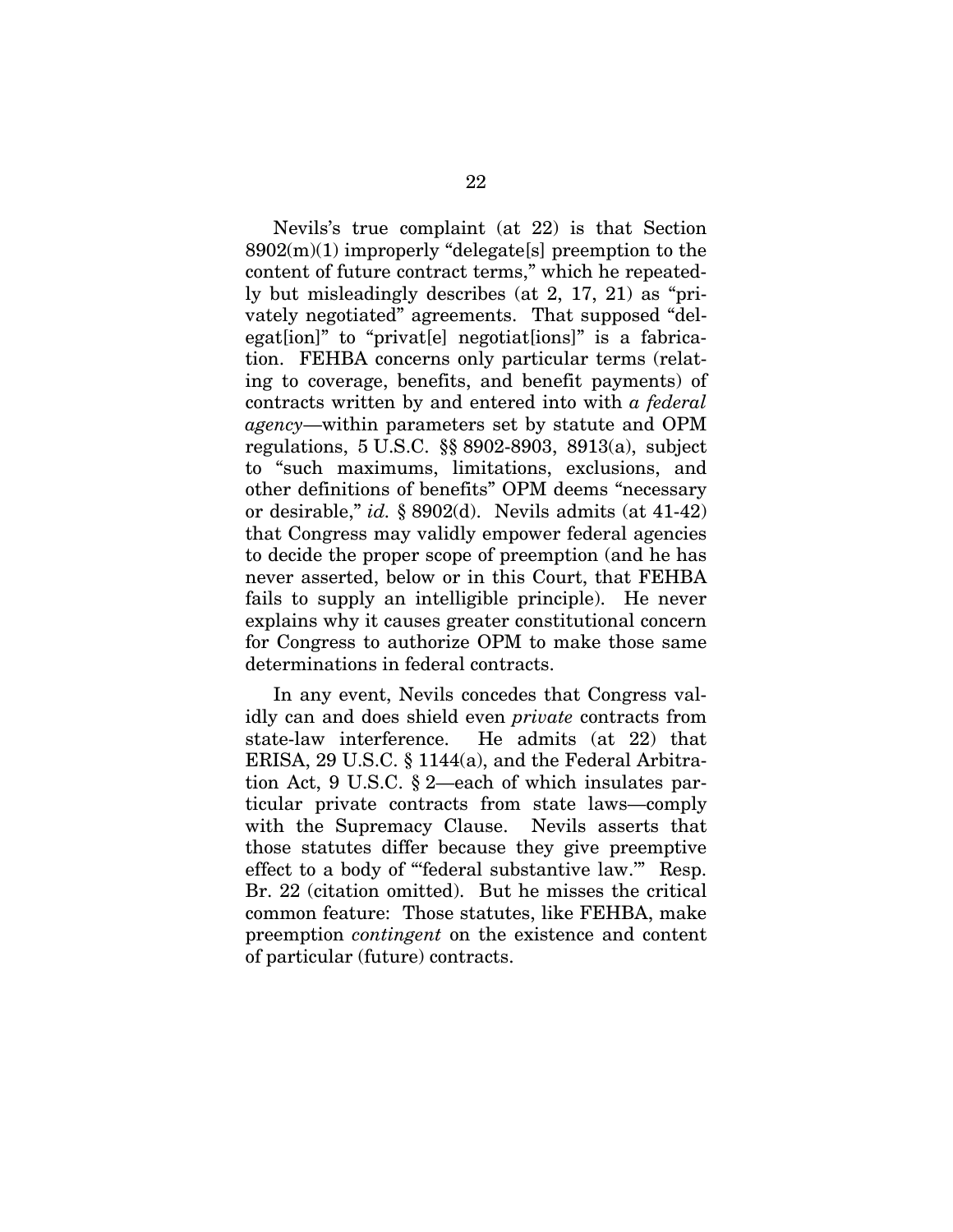Nevils's true complaint (at 22) is that Section  $8902(m)(1)$  improperly "delegate[s] preemption to the content of future contract terms," which he repeatedly but misleadingly describes (at 2, 17, 21) as "privately negotiated" agreements. That supposed "delegat[ion]" to "privat[e] negotiat[ions]" is a fabrication. FEHBA concerns only particular terms (relating to coverage, benefits, and benefit payments) of contracts written by and entered into with *a federal agency*—within parameters set by statute and OPM regulations, 5 U.S.C. §§ 8902-8903, 8913(a), subject to "such maximums, limitations, exclusions, and other definitions of benefits" OPM deems "necessary or desirable," *id.* § 8902(d). Nevils admits (at 41-42) that Congress may validly empower federal agencies to decide the proper scope of preemption (and he has never asserted, below or in this Court, that FEHBA fails to supply an intelligible principle). He never explains why it causes greater constitutional concern for Congress to authorize OPM to make those same determinations in federal contracts.

In any event, Nevils concedes that Congress validly can and does shield even *private* contracts from state-law interference. He admits (at 22) that ERISA, 29 U.S.C. § 1144(a), and the Federal Arbitration Act, 9 U.S.C. § 2—each of which insulates particular private contracts from state laws—comply with the Supremacy Clause. Nevils asserts that those statutes differ because they give preemptive effect to a body of "'federal substantive law.'" Resp. Br. 22 (citation omitted). But he misses the critical common feature: Those statutes, like FEHBA, make preemption *contingent* on the existence and content of particular (future) contracts.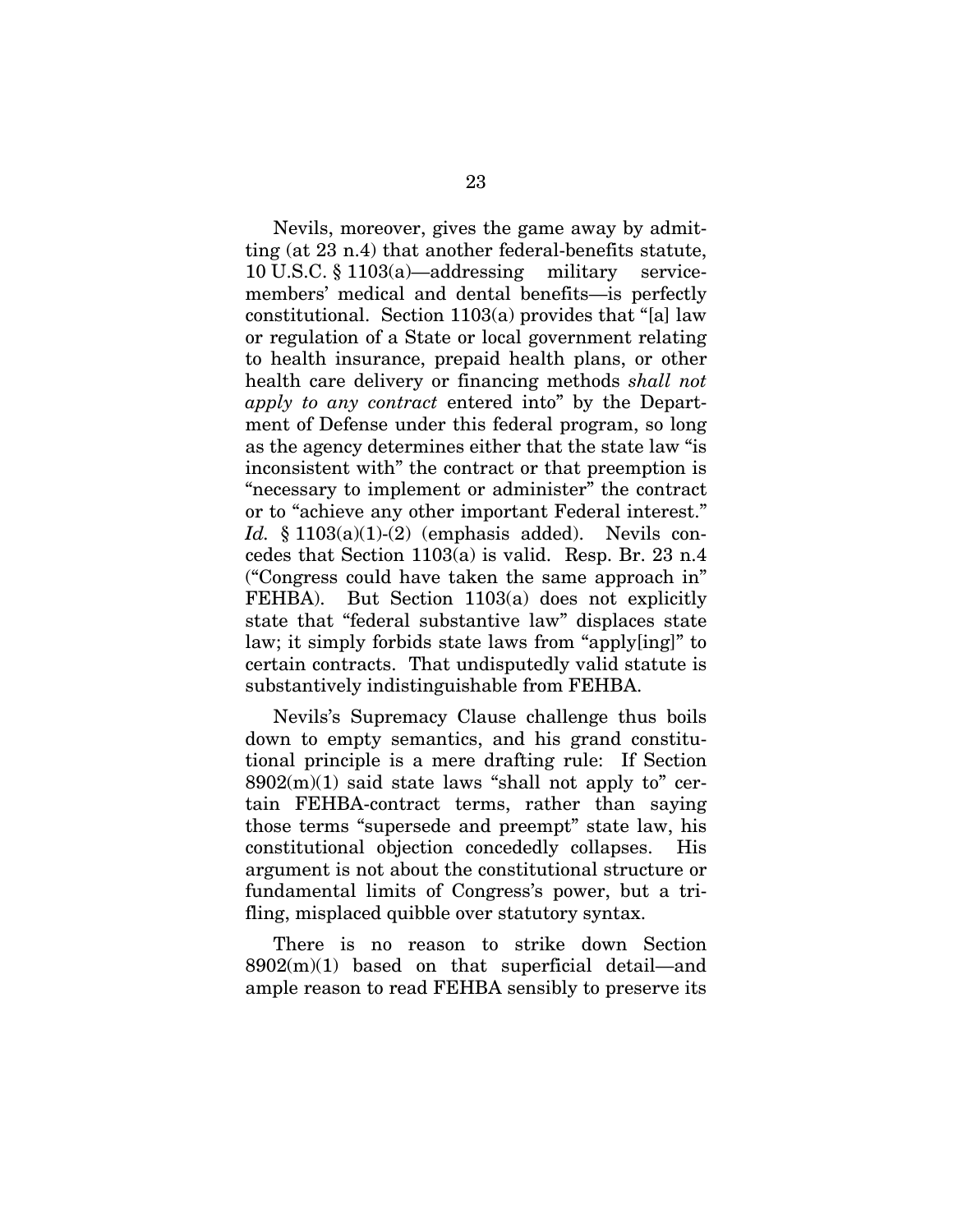Nevils, moreover, gives the game away by admitting (at 23 n.4) that another federal-benefits statute, 10 U.S.C. § 1103(a)—addressing military servicemembers' medical and dental benefits—is perfectly constitutional. Section 1103(a) provides that "[a] law or regulation of a State or local government relating to health insurance, prepaid health plans, or other health care delivery or financing methods *shall not apply to any contract* entered into" by the Department of Defense under this federal program, so long as the agency determines either that the state law "is inconsistent with" the contract or that preemption is "necessary to implement or administer" the contract or to "achieve any other important Federal interest." *Id.* § 1103(a)(1)-(2) (emphasis added). Nevils concedes that Section 1103(a) is valid. Resp. Br. 23 n.4 ("Congress could have taken the same approach in" FEHBA). But Section 1103(a) does not explicitly state that "federal substantive law" displaces state law; it simply forbids state laws from "apply[ing]" to certain contracts. That undisputedly valid statute is substantively indistinguishable from FEHBA.

Nevils's Supremacy Clause challenge thus boils down to empty semantics, and his grand constitutional principle is a mere drafting rule: If Section  $8902(m)(1)$  said state laws "shall not apply to" certain FEHBA-contract terms, rather than saying those terms "supersede and preempt" state law, his constitutional objection concededly collapses. His argument is not about the constitutional structure or fundamental limits of Congress's power, but a trifling, misplaced quibble over statutory syntax.

There is no reason to strike down Section  $8902(m)(1)$  based on that superficial detail—and ample reason to read FEHBA sensibly to preserve its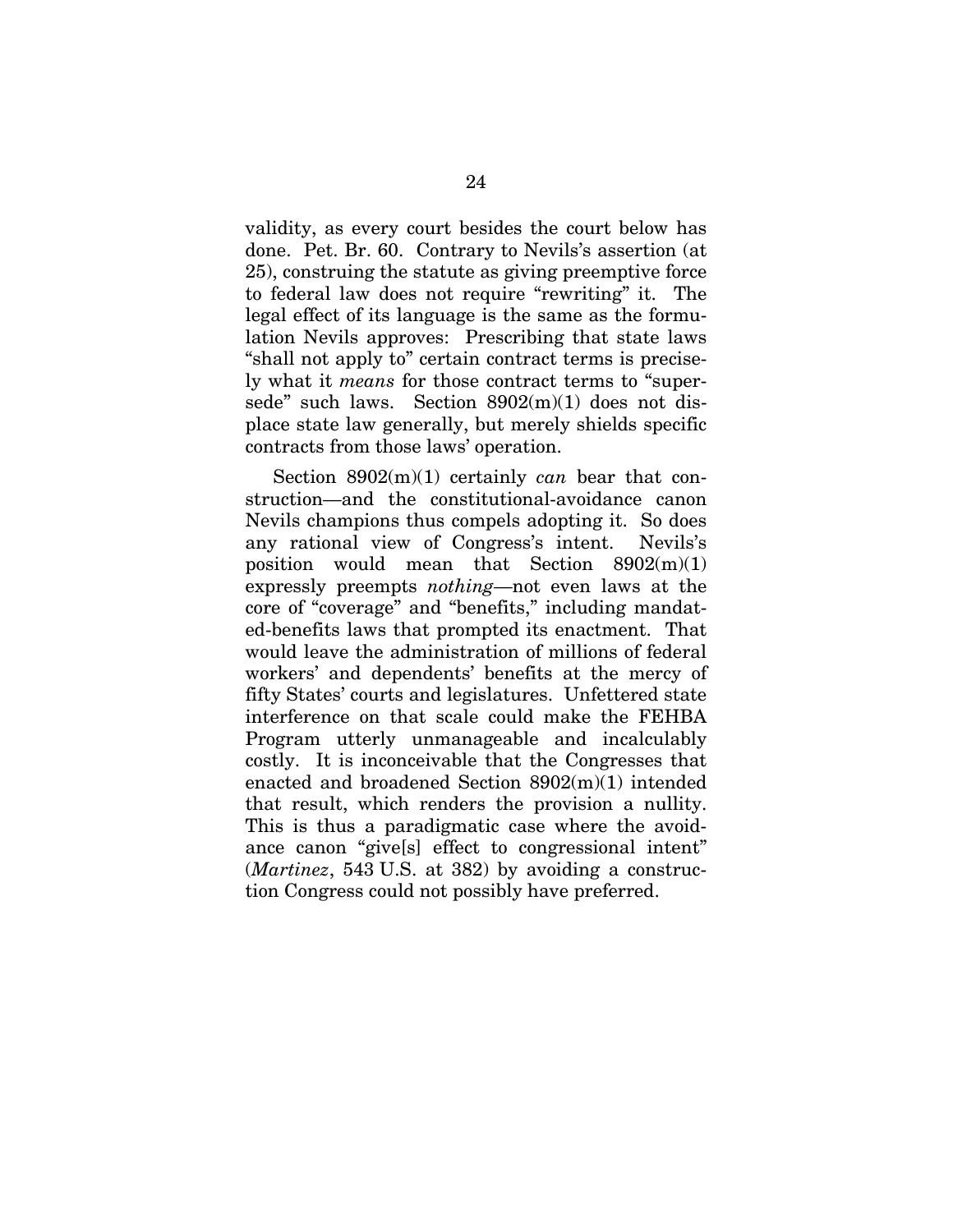validity, as every court besides the court below has done. Pet. Br. 60. Contrary to Nevils's assertion (at 25), construing the statute as giving preemptive force to federal law does not require "rewriting" it. The legal effect of its language is the same as the formulation Nevils approves: Prescribing that state laws "shall not apply to" certain contract terms is precisely what it *means* for those contract terms to "supersede" such laws. Section  $8902(m)(1)$  does not displace state law generally, but merely shields specific contracts from those laws' operation.

Section 8902(m)(1) certainly *can* bear that construction—and the constitutional-avoidance canon Nevils champions thus compels adopting it. So does any rational view of Congress's intent. Nevils's position would mean that Section  $8902(m)(1)$ expressly preempts *nothing*—not even laws at the core of "coverage" and "benefits," including mandated-benefits laws that prompted its enactment. That would leave the administration of millions of federal workers' and dependents' benefits at the mercy of fifty States' courts and legislatures. Unfettered state interference on that scale could make the FEHBA Program utterly unmanageable and incalculably costly. It is inconceivable that the Congresses that enacted and broadened Section 8902(m)(1) intended that result, which renders the provision a nullity. This is thus a paradigmatic case where the avoidance canon "give[s] effect to congressional intent" (*Martinez*, 543 U.S. at 382) by avoiding a construction Congress could not possibly have preferred.